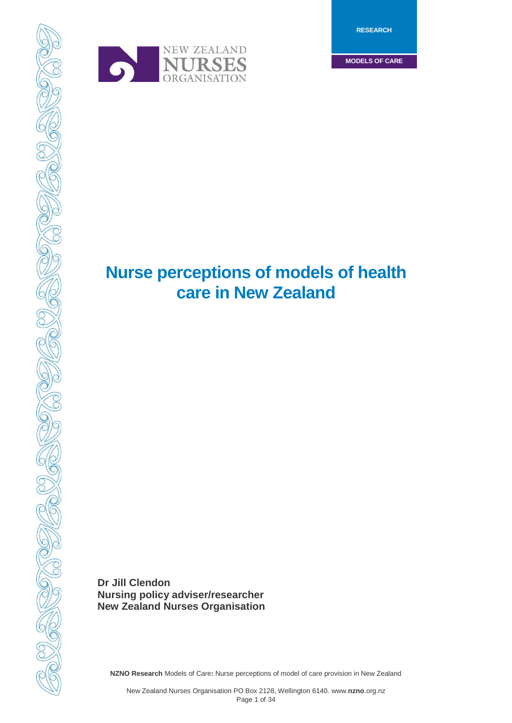**RESEARCH**

**MODELS OF CARE**



# **Nurse perceptions of models of health care in New Zealand**

**Dr Jill Clendon Nursing policy adviser/researcher New Zealand Nurses Organisation**

**NZNO Research** Models of Care**:** Nurse perceptions of model of care provision in New Zealand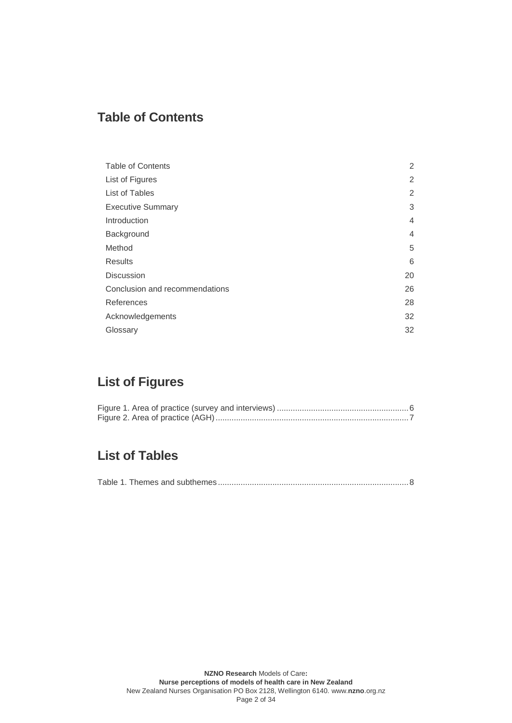## <span id="page-1-0"></span>**Table of Contents**

| <b>Table of Contents</b>       | 2              |
|--------------------------------|----------------|
| List of Figures                | 2              |
| List of Tables                 | 2              |
| <b>Executive Summary</b>       | 3              |
| Introduction                   | $\overline{4}$ |
| Background                     | 4              |
| Method                         | 5              |
| <b>Results</b>                 | 6              |
| <b>Discussion</b>              | 20             |
| Conclusion and recommendations | 26             |
| References                     | 28             |
| Acknowledgements               | 32             |
| Glossary                       | 32             |

## <span id="page-1-1"></span>**List of Figures**

## <span id="page-1-2"></span>**List of Tables**

|--|--|--|--|--|--|--|--|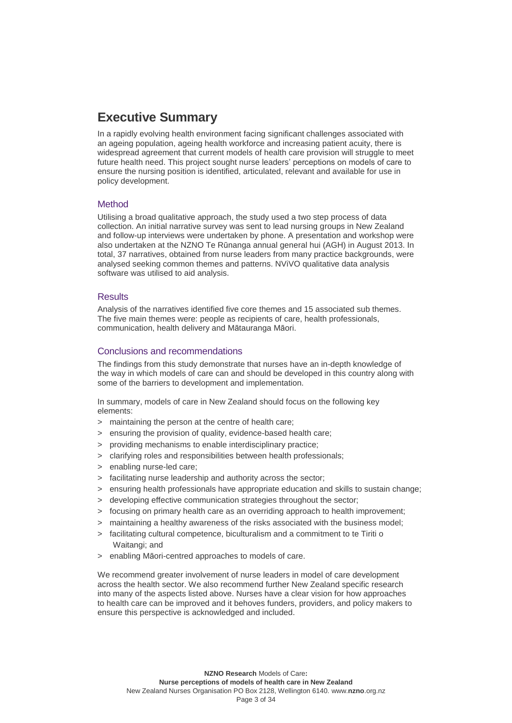## <span id="page-2-0"></span>**Executive Summary**

In a rapidly evolving health environment facing significant challenges associated with an ageing population, ageing health workforce and increasing patient acuity, there is widespread agreement that current models of health care provision will struggle to meet future health need. This project sought nurse leaders' perceptions on models of care to ensure the nursing position is identified, articulated, relevant and available for use in policy development.

## Method

Utilising a broad qualitative approach, the study used a two step process of data collection. An initial narrative survey was sent to lead nursing groups in New Zealand and follow-up interviews were undertaken by phone. A presentation and workshop were also undertaken at the NZNO Te Rūnanga annual general hui (AGH) in August 2013. In total, 37 narratives, obtained from nurse leaders from many practice backgrounds, were analysed seeking common themes and patterns. NViVO qualitative data analysis software was utilised to aid analysis.

### **Results**

Analysis of the narratives identified five core themes and 15 associated sub themes. The five main themes were: people as recipients of care, health professionals, communication, health delivery and Mātauranga Māori.

## Conclusions and recommendations

The findings from this study demonstrate that nurses have an in-depth knowledge of the way in which models of care can and should be developed in this country along with some of the barriers to development and implementation.

In summary, models of care in New Zealand should focus on the following key elements:

- > maintaining the person at the centre of health care;
- ensuring the provision of quality, evidence-based health care;
- > providing mechanisms to enable interdisciplinary practice;
- > clarifying roles and responsibilities between health professionals;
- > enabling nurse-led care;
- > facilitating nurse leadership and authority across the sector;
- > ensuring health professionals have appropriate education and skills to sustain change;
- developing effective communication strategies throughout the sector;
- > focusing on primary health care as an overriding approach to health improvement;
- > maintaining a healthy awareness of the risks associated with the business model;
- > facilitating cultural competence, biculturalism and a commitment to te Tiriti o Waitangi; and
- > enabling Māori-centred approaches to models of care.

We recommend greater involvement of nurse leaders in model of care development across the health sector. We also recommend further New Zealand specific research into many of the aspects listed above. Nurses have a clear vision for how approaches to health care can be improved and it behoves funders, providers, and policy makers to ensure this perspective is acknowledged and included.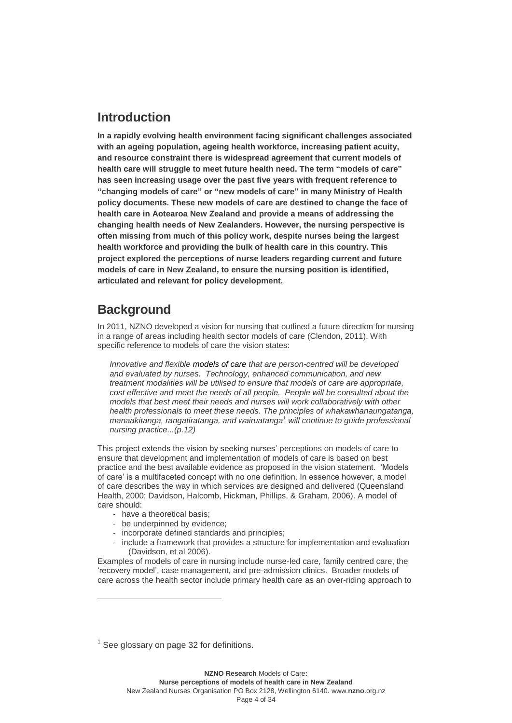## <span id="page-3-0"></span>**Introduction**

**In a rapidly evolving health environment facing significant challenges associated with an ageing population, ageing health workforce, increasing patient acuity, and resource constraint there is widespread agreement that current models of health care will struggle to meet future health need. The term "models of care" has seen increasing usage over the past five years with frequent reference to "changing models of care" or "new models of care" in many Ministry of Health policy documents. These new models of care are destined to change the face of health care in Aotearoa New Zealand and provide a means of addressing the changing health needs of New Zealanders. However, the nursing perspective is often missing from much of this policy work, despite nurses being the largest health workforce and providing the bulk of health care in this country. This project explored the perceptions of nurse leaders regarding current and future models of care in New Zealand, to ensure the nursing position is identified, articulated and relevant for policy development.**

## <span id="page-3-1"></span>**Background**

In 2011, NZNO developed a vision for nursing that outlined a future direction for nursing in a range of areas including health sector models of care (Clendon, 2011). With specific reference to models of care the vision states:

*Innovative and flexible models of care that are person-centred will be developed and evaluated by nurses. Technology, enhanced communication, and new treatment modalities will be utilised to ensure that models of care are appropriate, cost effective and meet the needs of all people. People will be consulted about the models that best meet their needs and nurses will work collaboratively with other health professionals to meet these needs. The principles of whakawhanaungatanga, manaakitanga, rangatiratanga, and wairuatanga<sup>1</sup> will continue to guide professional nursing practice...(p.12)*

This project extends the vision by seeking nurses' perceptions on models of care to ensure that development and implementation of models of care is based on best practice and the best available evidence as proposed in the vision statement. 'Models of care' is a multifaceted concept with no one definition. In essence however, a model of care describes the way in which services are designed and delivered (Queensland Health, 2000; Davidson, Halcomb, Hickman, Phillips, & Graham, 2006). A model of care should:

- have a theoretical basis:

 $\overline{a}$ 

- be underpinned by evidence;
- incorporate defined standards and principles;
- include a framework that provides a structure for implementation and evaluation (Davidson, et al 2006).

Examples of models of care in nursing include nurse-led care, family centred care, the 'recovery model', case management, and pre-admission clinics. Broader models of care across the health sector include primary health care as an over-riding approach to

 $1$  See glossary on page 32 for definitions.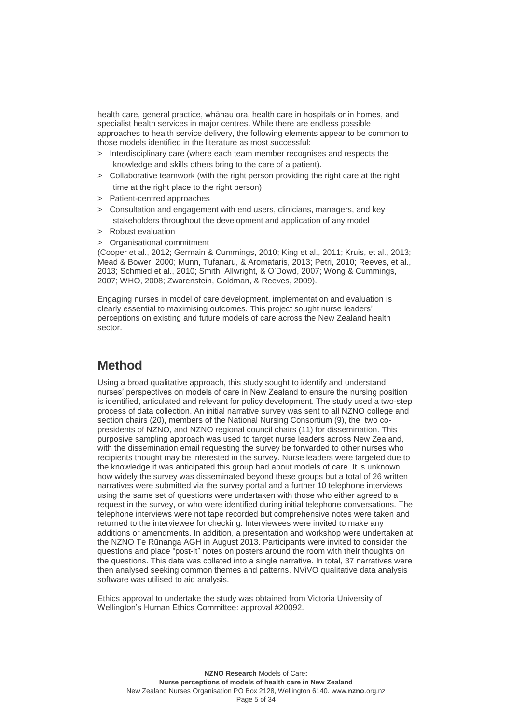health care, general practice, whānau ora, health care in hospitals or in homes, and specialist health services in major centres. While there are endless possible approaches to health service delivery, the following elements appear to be common to those models identified in the literature as most successful:

- > Interdisciplinary care (where each team member recognises and respects the knowledge and skills others bring to the care of a patient).
- > Collaborative teamwork (with the right person providing the right care at the right time at the right place to the right person).
- > Patient-centred approaches
- > Consultation and engagement with end users, clinicians, managers, and key stakeholders throughout the development and application of any model
- > Robust evaluation
- > Organisational commitment

(Cooper et al., 2012; Germain & Cummings, 2010; King et al., 2011; Kruis, et al., 2013; Mead & Bower, 2000; Munn, Tufanaru, & Aromataris, 2013; Petri, 2010; Reeves, et al., 2013; Schmied et al., 2010; Smith, Allwright, & O'Dowd, 2007; Wong & Cummings, 2007; WHO, 2008; Zwarenstein, Goldman, & Reeves, 2009).

Engaging nurses in model of care development, implementation and evaluation is clearly essential to maximising outcomes. This project sought nurse leaders' perceptions on existing and future models of care across the New Zealand health sector.

## <span id="page-4-0"></span>**Method**

Using a broad qualitative approach, this study sought to identify and understand nurses' perspectives on models of care in New Zealand to ensure the nursing position is identified, articulated and relevant for policy development. The study used a two-step process of data collection. An initial narrative survey was sent to all NZNO college and section chairs (20), members of the National Nursing Consortium (9), the two copresidents of NZNO, and NZNO regional council chairs (11) for dissemination. This purposive sampling approach was used to target nurse leaders across New Zealand, with the dissemination email requesting the survey be forwarded to other nurses who recipients thought may be interested in the survey. Nurse leaders were targeted due to the knowledge it was anticipated this group had about models of care. It is unknown how widely the survey was disseminated beyond these groups but a total of 26 written narratives were submitted via the survey portal and a further 10 telephone interviews using the same set of questions were undertaken with those who either agreed to a request in the survey, or who were identified during initial telephone conversations. The telephone interviews were not tape recorded but comprehensive notes were taken and returned to the interviewee for checking. Interviewees were invited to make any additions or amendments. In addition, a presentation and workshop were undertaken at the NZNO Te Rūnanga AGH in August 2013. Participants were invited to consider the questions and place "post-it" notes on posters around the room with their thoughts on the questions. This data was collated into a single narrative. In total, 37 narratives were then analysed seeking common themes and patterns. NViVO qualitative data analysis software was utilised to aid analysis.

Ethics approval to undertake the study was obtained from Victoria University of Wellington's Human Ethics Committee: approval #20092.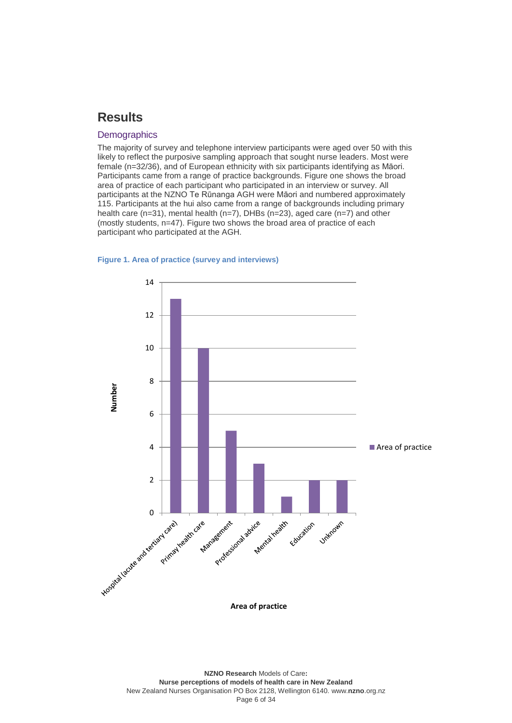## <span id="page-5-0"></span>**Results**

### **Demographics**

The majority of survey and telephone interview participants were aged over 50 with this likely to reflect the purposive sampling approach that sought nurse leaders. Most were female (n=32/36), and of European ethnicity with six participants identifying as Māori. Participants came from a range of practice backgrounds. Figure one shows the broad area of practice of each participant who participated in an interview or survey. All participants at the NZNO Te Rūnanga AGH were Māori and numbered approximately 115. Participants at the hui also came from a range of backgrounds including primary health care (n=31), mental health (n=7), DHBs (n=23), aged care (n=7) and other (mostly students, n=47). Figure two shows the broad area of practice of each participant who participated at the AGH.

#### <span id="page-5-1"></span>**Figure 1. Area of practice (survey and interviews)**



**Area of practice**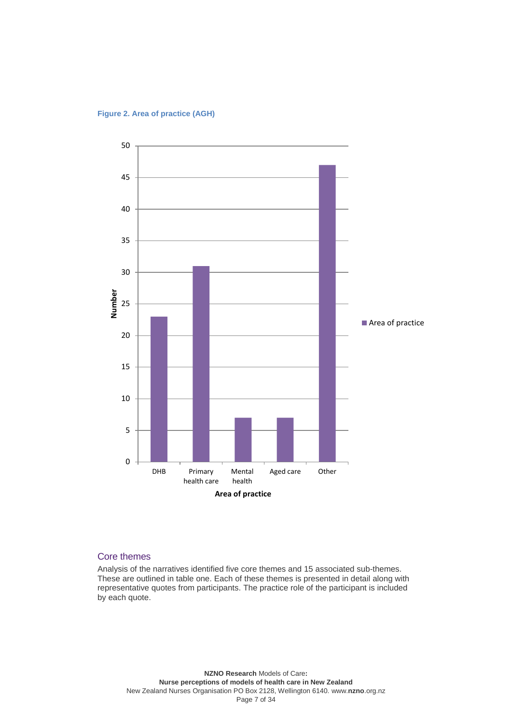<span id="page-6-0"></span>



## Core themes

Analysis of the narratives identified five core themes and 15 associated sub-themes. These are outlined in table one. Each of these themes is presented in detail along with representative quotes from participants. The practice role of the participant is included by each quote.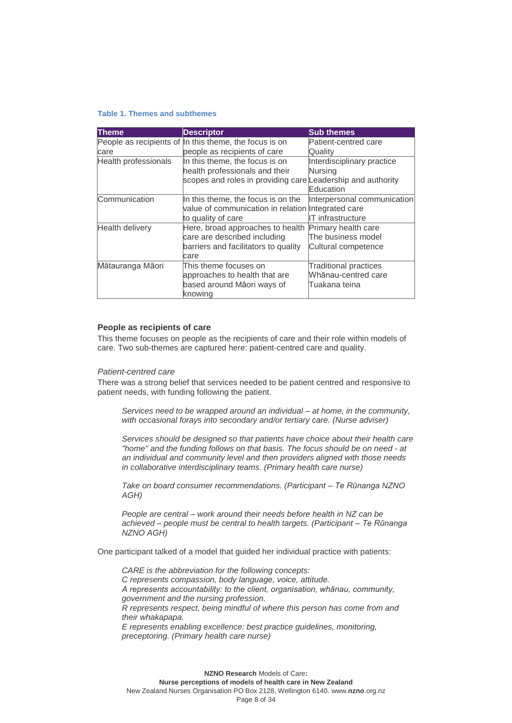#### <span id="page-7-0"></span>**Table 1. Themes and subthemes**

| <b>Theme</b>         | <b>Descriptor</b>                                           | <b>Sub themes</b>           |
|----------------------|-------------------------------------------------------------|-----------------------------|
|                      | People as recipients of In this theme, the focus is on      | Patient-centred care        |
| care                 | people as recipients of care                                | Quality                     |
| Health professionals | In this theme, the focus is on                              | Interdisciplinary practice  |
|                      | health professionals and their                              | Nursing                     |
|                      | scopes and roles in providing care Leadership and authority |                             |
|                      |                                                             | Education                   |
| Communication        | In this theme, the focus is on the                          | Interpersonal communication |
|                      | value of communication in relation Integrated care          |                             |
|                      | to quality of care                                          | IIT infrastructure          |
| Health delivery      | Here, broad approaches to health                            | Primary health care         |
|                      | care are described including                                | The business model          |
|                      | barriers and facilitators to quality                        | Cultural competence         |
|                      | lcare                                                       |                             |
| Mātauranga Māori     | This theme focuses on                                       | Traditional practices       |
|                      | approaches to health that are                               | Whānau-centred care         |
|                      | based around Māori ways of                                  | Tuakana teina               |
|                      | knowing                                                     |                             |

### **People as recipients of care**

This theme focuses on people as the recipients of care and their role within models of care. Two sub-themes are captured here: patient-centred care and quality.

### *Patient-centred care*

There was a strong belief that services needed to be patient centred and responsive to patient needs, with funding following the patient.

*Services need to be wrapped around an individual – at home, in the community, with occasional forays into secondary and/or tertiary care. (Nurse adviser)*

*Services should be designed so that patients have choice about their health care "home" and the funding follows on that basis. The focus should be on need - at an individual and community level and then providers aligned with those needs in collaborative interdisciplinary teams. (Primary health care nurse)*

*Take on board consumer recommendations. (Participant – Te Rūnanga NZNO AGH)*

*People are central – work around their needs before health in NZ can be achieved – people must be central to health targets. (Participant – Te Rūnanga NZNO AGH)*

One participant talked of a model that guided her individual practice with patients:

*CARE is the abbreviation for the following concepts: C represents compassion, body language, voice, attitude. A represents accountability: to the client, organisation, whānau, community, government and the nursing profession. R represents respect, being mindful of where this person has come from and their whakapapa. E represents enabling excellence: best practice guidelines, monitoring, preceptoring. (Primary health care nurse)*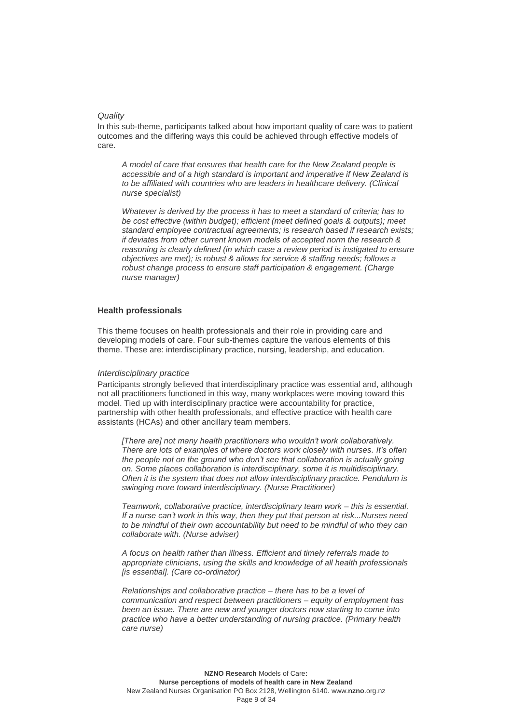#### *Quality*

In this sub-theme, participants talked about how important quality of care was to patient outcomes and the differing ways this could be achieved through effective models of care.

*A model of care that ensures that health care for the New Zealand people is accessible and of a high standard is important and imperative if New Zealand is to be affiliated with countries who are leaders in healthcare delivery. (Clinical nurse specialist)*

*Whatever is derived by the process it has to meet a standard of criteria; has to be cost effective (within budget); efficient (meet defined goals & outputs); meet standard employee contractual agreements; is research based if research exists; if deviates from other current known models of accepted norm the research & reasoning is clearly defined (in which case a review period is instigated to ensure objectives are met); is robust & allows for service & staffing needs; follows a robust change process to ensure staff participation & engagement. (Charge nurse manager)*

### **Health professionals**

This theme focuses on health professionals and their role in providing care and developing models of care. Four sub-themes capture the various elements of this theme. These are: interdisciplinary practice, nursing, leadership, and education.

#### *Interdisciplinary practice*

Participants strongly believed that interdisciplinary practice was essential and, although not all practitioners functioned in this way, many workplaces were moving toward this model. Tied up with interdisciplinary practice were accountability for practice, partnership with other health professionals, and effective practice with health care assistants (HCAs) and other ancillary team members.

*[There are] not many health practitioners who wouldn't work collaboratively. There are lots of examples of where doctors work closely with nurses. It's often the people not on the ground who don't see that collaboration is actually going on. Some places collaboration is interdisciplinary, some it is multidisciplinary. Often it is the system that does not allow interdisciplinary practice. Pendulum is swinging more toward interdisciplinary. (Nurse Practitioner)*

*Teamwork, collaborative practice, interdisciplinary team work – this is essential. If a nurse can't work in this way, then they put that person at risk...Nurses need to be mindful of their own accountability but need to be mindful of who they can collaborate with. (Nurse adviser)*

*A focus on health rather than illness. Efficient and timely referrals made to appropriate clinicians, using the skills and knowledge of all health professionals [is essential]. (Care co-ordinator)*

*Relationships and collaborative practice – there has to be a level of communication and respect between practitioners – equity of employment has been an issue. There are new and younger doctors now starting to come into practice who have a better understanding of nursing practice. (Primary health care nurse)*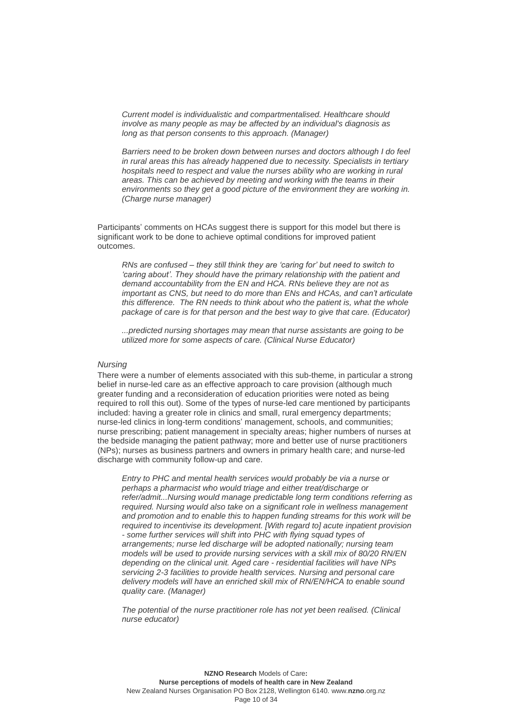*Current model is individualistic and compartmentalised. Healthcare should involve as many people as may be affected by an individual's diagnosis as long as that person consents to this approach. (Manager)* 

*Barriers need to be broken down between nurses and doctors although I do feel in rural areas this has already happened due to necessity. Specialists in tertiary hospitals need to respect and value the nurses ability who are working in rural areas. This can be achieved by meeting and working with the teams in their environments so they get a good picture of the environment they are working in. (Charge nurse manager)*

Participants' comments on HCAs suggest there is support for this model but there is significant work to be done to achieve optimal conditions for improved patient outcomes.

*RNs are confused – they still think they are 'caring for' but need to switch to 'caring about'. They should have the primary relationship with the patient and demand accountability from the EN and HCA. RNs believe they are not as important as CNS, but need to do more than ENs and HCAs, and can't articulate this difference. The RN needs to think about who the patient is, what the whole package of care is for that person and the best way to give that care. (Educator)*

*...predicted nursing shortages may mean that nurse assistants are going to be utilized more for some aspects of care. (Clinical Nurse Educator)*

#### *Nursing*

There were a number of elements associated with this sub-theme, in particular a strong belief in nurse-led care as an effective approach to care provision (although much greater funding and a reconsideration of education priorities were noted as being required to roll this out). Some of the types of nurse-led care mentioned by participants included: having a greater role in clinics and small, rural emergency departments; nurse-led clinics in long-term conditions' management, schools, and communities; nurse prescribing; patient management in specialty areas; higher numbers of nurses at the bedside managing the patient pathway; more and better use of nurse practitioners (NPs); nurses as business partners and owners in primary health care; and nurse-led discharge with community follow-up and care.

*Entry to PHC and mental health services would probably be via a nurse or perhaps a pharmacist who would triage and either treat/discharge or refer/admit...Nursing would manage predictable long term conditions referring as required. Nursing would also take on a significant role in wellness management and promotion and to enable this to happen funding streams for this work will be required to incentivise its development. [With regard to] acute inpatient provision - some further services will shift into PHC with flying squad types of arrangements; nurse led discharge will be adopted nationally; nursing team models will be used to provide nursing services with a skill mix of 80/20 RN/EN depending on the clinical unit. Aged care - residential facilities will have NPs servicing 2-3 facilities to provide health services. Nursing and personal care delivery models will have an enriched skill mix of RN/EN/HCA to enable sound quality care. (Manager)*

*The potential of the nurse practitioner role has not yet been realised. (Clinical nurse educator)*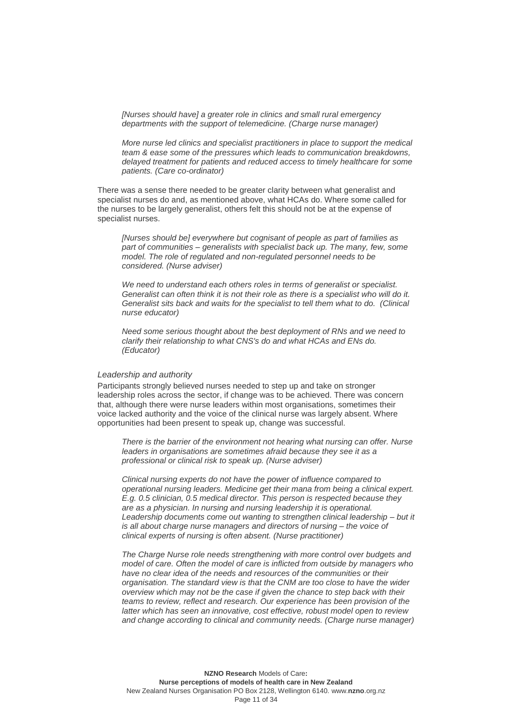*[Nurses should have] a greater role in clinics and small rural emergency departments with the support of telemedicine. (Charge nurse manager)*

*More nurse led clinics and specialist practitioners in place to support the medical team & ease some of the pressures which leads to communication breakdowns, delayed treatment for patients and reduced access to timely healthcare for some patients. (Care co-ordinator)*

There was a sense there needed to be greater clarity between what generalist and specialist nurses do and, as mentioned above, what HCAs do. Where some called for the nurses to be largely generalist, others felt this should not be at the expense of specialist nurses.

*[Nurses should be] everywhere but cognisant of people as part of families as part of communities – generalists with specialist back up. The many, few, some model. The role of regulated and non-regulated personnel needs to be considered. (Nurse adviser)*

*We need to understand each others roles in terms of generalist or specialist. Generalist can often think it is not their role as there is a specialist who will do it. Generalist sits back and waits for the specialist to tell them what to do. (Clinical nurse educator)*

*Need some serious thought about the best deployment of RNs and we need to clarify their relationship to what CNS's do and what HCAs and ENs do. (Educator)*

#### *Leadership and authority*

Participants strongly believed nurses needed to step up and take on stronger leadership roles across the sector, if change was to be achieved. There was concern that, although there were nurse leaders within most organisations, sometimes their voice lacked authority and the voice of the clinical nurse was largely absent. Where opportunities had been present to speak up, change was successful.

*There is the barrier of the environment not hearing what nursing can offer. Nurse leaders in organisations are sometimes afraid because they see it as a professional or clinical risk to speak up. (Nurse adviser)*

*Clinical nursing experts do not have the power of influence compared to operational nursing leaders. Medicine get their mana from being a clinical expert. E.g. 0.5 clinician, 0.5 medical director. This person is respected because they are as a physician. In nursing and nursing leadership it is operational. Leadership documents come out wanting to strengthen clinical leadership – but it is all about charge nurse managers and directors of nursing – the voice of clinical experts of nursing is often absent. (Nurse practitioner)*

*The Charge Nurse role needs strengthening with more control over budgets and model of care. Often the model of care is inflicted from outside by managers who have no clear idea of the needs and resources of the communities or their organisation. The standard view is that the CNM are too close to have the wider overview which may not be the case if given the chance to step back with their teams to review, reflect and research. Our experience has been provision of the latter which has seen an innovative, cost effective, robust model open to review and change according to clinical and community needs. (Charge nurse manager)*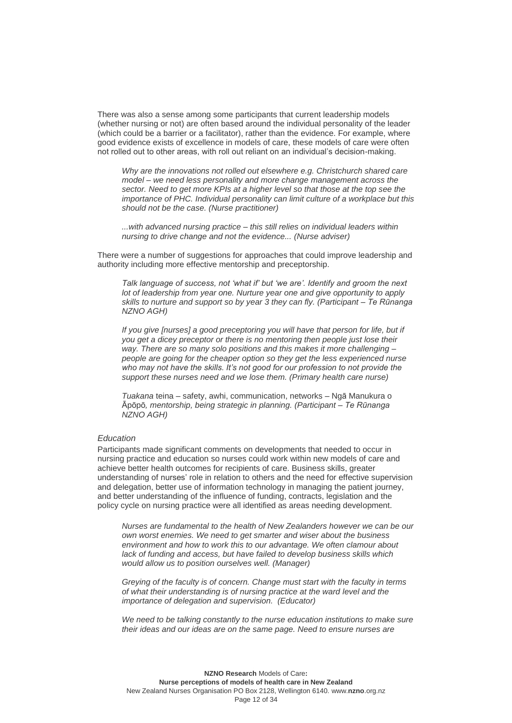There was also a sense among some participants that current leadership models (whether nursing or not) are often based around the individual personality of the leader (which could be a barrier or a facilitator), rather than the evidence. For example, where good evidence exists of excellence in models of care, these models of care were often not rolled out to other areas, with roll out reliant on an individual's decision-making.

*Why are the innovations not rolled out elsewhere e.g. Christchurch shared care model – we need less personality and more change management across the sector. Need to get more KPIs at a higher level so that those at the top see the importance of PHC. Individual personality can limit culture of a workplace but this should not be the case. (Nurse practitioner)*

*...with advanced nursing practice – this still relies on individual leaders within nursing to drive change and not the evidence... (Nurse adviser)*

There were a number of suggestions for approaches that could improve leadership and authority including more effective mentorship and preceptorship.

*Talk language of success, not 'what if' but 'we are'. Identify and groom the next lot of leadership from year one. Nurture year one and give opportunity to apply skills to nurture and support so by year 3 they can fly. (Participant – Te Rūnanga NZNO AGH)*

If you give [nurses] a good preceptoring you will have that person for life, but if *you get a dicey preceptor or there is no mentoring then people just lose their way. There are so many solo positions and this makes it more challenging – people are going for the cheaper option so they get the less experienced nurse who may not have the skills. It's not good for our profession to not provide the support these nurses need and we lose them. (Primary health care nurse)*

*Tuakana* teina – safety, awhi, communication, networks – Ngā Manukura o Āpōpō*, mentorship, being strategic in planning. (Participant – Te Rūnanga NZNO AGH)*

### *Education*

Participants made significant comments on developments that needed to occur in nursing practice and education so nurses could work within new models of care and achieve better health outcomes for recipients of care. Business skills, greater understanding of nurses' role in relation to others and the need for effective supervision and delegation, better use of information technology in managing the patient journey, and better understanding of the influence of funding, contracts, legislation and the policy cycle on nursing practice were all identified as areas needing development.

*Nurses are fundamental to the health of New Zealanders however we can be our own worst enemies. We need to get smarter and wiser about the business environment and how to work this to our advantage. We often clamour about lack of funding and access, but have failed to develop business skills which would allow us to position ourselves well. (Manager)*

*Greying of the faculty is of concern. Change must start with the faculty in terms of what their understanding is of nursing practice at the ward level and the importance of delegation and supervision. (Educator)*

We need to be talking constantly to the nurse education institutions to make sure *their ideas and our ideas are on the same page. Need to ensure nurses are*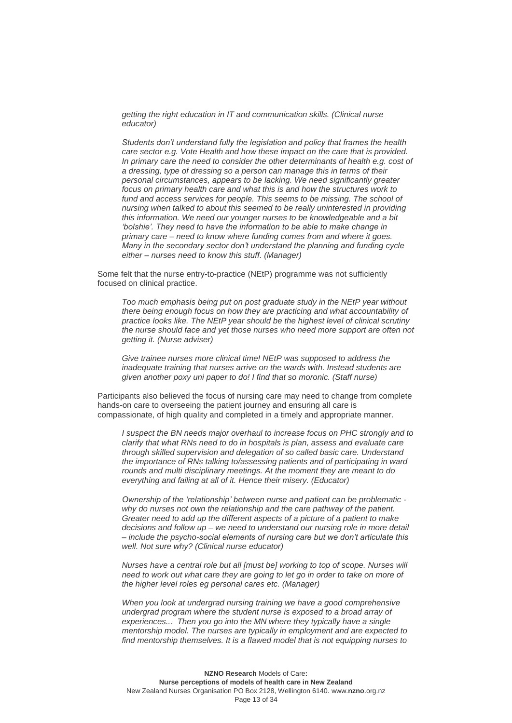*getting the right education in IT and communication skills. (Clinical nurse educator)*

*Students don't understand fully the legislation and policy that frames the health care sector e.g. Vote Health and how these impact on the care that is provided. In primary care the need to consider the other determinants of health e.g. cost of a dressing, type of dressing so a person can manage this in terms of their personal circumstances, appears to be lacking. We need significantly greater focus on primary health care and what this is and how the structures work to fund and access services for people. This seems to be missing. The school of nursing when talked to about this seemed to be really uninterested in providing this information. We need our younger nurses to be knowledgeable and a bit 'bolshie'. They need to have the information to be able to make change in primary care – need to know where funding comes from and where it goes. Many in the secondary sector don't understand the planning and funding cycle either – nurses need to know this stuff. (Manager)*

Some felt that the nurse entry-to-practice (NEtP) programme was not sufficiently focused on clinical practice.

*Too much emphasis being put on post graduate study in the NEtP year without there being enough focus on how they are practicing and what accountability of practice looks like. The NEtP year should be the highest level of clinical scrutiny the nurse should face and yet those nurses who need more support are often not getting it. (Nurse adviser)*

*Give trainee nurses more clinical time! NEtP was supposed to address the inadequate training that nurses arrive on the wards with. Instead students are given another poxy uni paper to do! I find that so moronic. (Staff nurse)*

Participants also believed the focus of nursing care may need to change from complete hands-on care to overseeing the patient journey and ensuring all care is compassionate, of high quality and completed in a timely and appropriate manner.

*I suspect the BN needs major overhaul to increase focus on PHC strongly and to clarify that what RNs need to do in hospitals is plan, assess and evaluate care through skilled supervision and delegation of so called basic care. Understand the importance of RNs talking to/assessing patients and of participating in ward rounds and multi disciplinary meetings. At the moment they are meant to do everything and failing at all of it. Hence their misery. (Educator)*

*Ownership of the 'relationship' between nurse and patient can be problematic*  why do nurses not own the relationship and the care pathway of the patient. *Greater need to add up the different aspects of a picture of a patient to make decisions and follow up – we need to understand our nursing role in more detail – include the psycho-social elements of nursing care but we don't articulate this well. Not sure why? (Clinical nurse educator)*

*Nurses have a central role but all [must be] working to top of scope. Nurses will need to work out what care they are going to let go in order to take on more of the higher level roles eg personal cares etc. (Manager)*

*When you look at undergrad nursing training we have a good comprehensive undergrad program where the student nurse is exposed to a broad array of experiences... Then you go into the MN where they typically have a single mentorship model. The nurses are typically in employment and are expected to find mentorship themselves. It is a flawed model that is not equipping nurses to*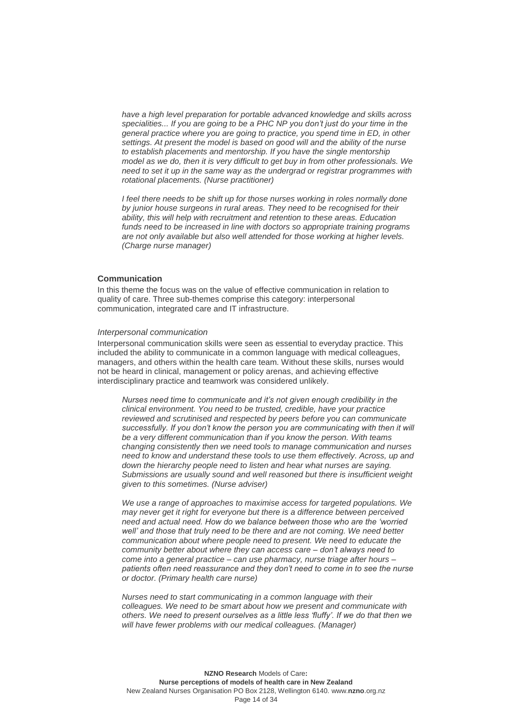*have a high level preparation for portable advanced knowledge and skills across specialities... If you are going to be a PHC NP you don't just do your time in the general practice where you are going to practice, you spend time in ED, in other settings. At present the model is based on good will and the ability of the nurse to establish placements and mentorship. If you have the single mentorship model as we do, then it is very difficult to get buy in from other professionals. We need to set it up in the same way as the undergrad or registrar programmes with rotational placements. (Nurse practitioner)* 

*I feel there needs to be shift up for those nurses working in roles normally done by junior house surgeons in rural areas. They need to be recognised for their ability, this will help with recruitment and retention to these areas. Education funds need to be increased in line with doctors so appropriate training programs are not only available but also well attended for those working at higher levels. (Charge nurse manager)*

## **Communication**

In this theme the focus was on the value of effective communication in relation to quality of care. Three sub-themes comprise this category: interpersonal communication, integrated care and IT infrastructure.

#### *Interpersonal communication*

Interpersonal communication skills were seen as essential to everyday practice. This included the ability to communicate in a common language with medical colleagues, managers, and others within the health care team. Without these skills, nurses would not be heard in clinical, management or policy arenas, and achieving effective interdisciplinary practice and teamwork was considered unlikely.

*Nurses need time to communicate and it's not given enough credibility in the clinical environment. You need to be trusted, credible, have your practice reviewed and scrutinised and respected by peers before you can communicate successfully. If you don't know the person you are communicating with then it will be a very different communication than if you know the person. With teams changing consistently then we need tools to manage communication and nurses need to know and understand these tools to use them effectively. Across, up and down the hierarchy people need to listen and hear what nurses are saying. Submissions are usually sound and well reasoned but there is insufficient weight given to this sometimes. (Nurse adviser)*

*We use a range of approaches to maximise access for targeted populations. We may never get it right for everyone but there is a difference between perceived need and actual need. How do we balance between those who are the 'worried well' and those that truly need to be there and are not coming. We need better communication about where people need to present. We need to educate the community better about where they can access care – don't always need to come into a general practice – can use pharmacy, nurse triage after hours – patients often need reassurance and they don't need to come in to see the nurse or doctor. (Primary health care nurse)*

*Nurses need to start communicating in a common language with their colleagues. We need to be smart about how we present and communicate with others. We need to present ourselves as a little less 'fluffy'. If we do that then we will have fewer problems with our medical colleagues. (Manager)*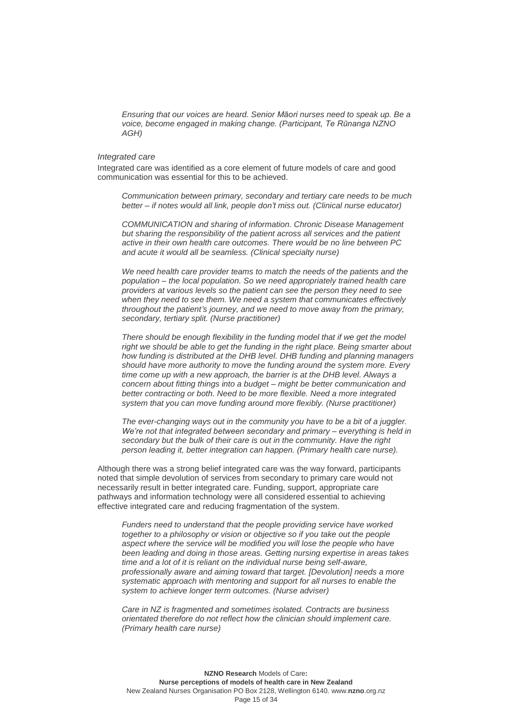*Ensuring that our voices are heard. Senior Māori nurses need to speak up. Be a voice, become engaged in making change. (Participant, Te Rūnanga NZNO AGH)*

### *Integrated care*

Integrated care was identified as a core element of future models of care and good communication was essential for this to be achieved.

*Communication between primary, secondary and tertiary care needs to be much better – if notes would all link, people don't miss out. (Clinical nurse educator)*

*COMMUNICATION and sharing of information. Chronic Disease Management but sharing the responsibility of the patient across all services and the patient active in their own health care outcomes. There would be no line between PC and acute it would all be seamless. (Clinical specialty nurse)*

We need health care provider teams to match the needs of the patients and the *population – the local population. So we need appropriately trained health care providers at various levels so the patient can see the person they need to see when they need to see them. We need a system that communicates effectively throughout the patient's journey, and we need to move away from the primary, secondary, tertiary split. (Nurse practitioner)*

*There should be enough flexibility in the funding model that if we get the model right we should be able to get the funding in the right place. Being smarter about how funding is distributed at the DHB level. DHB funding and planning managers should have more authority to move the funding around the system more. Every time come up with a new approach, the barrier is at the DHB level. Always a concern about fitting things into a budget – might be better communication and better contracting or both. Need to be more flexible. Need a more integrated system that you can move funding around more flexibly. (Nurse practitioner)*

*The ever-changing ways out in the community you have to be a bit of a juggler. We're not that integrated between secondary and primary – everything is held in secondary but the bulk of their care is out in the community. Have the right person leading it, better integration can happen. (Primary health care nurse).*

Although there was a strong belief integrated care was the way forward, participants noted that simple devolution of services from secondary to primary care would not necessarily result in better integrated care. Funding, support, appropriate care pathways and information technology were all considered essential to achieving effective integrated care and reducing fragmentation of the system.

*Funders need to understand that the people providing service have worked together to a philosophy or vision or objective so if you take out the people aspect where the service will be modified you will lose the people who have been leading and doing in those areas. Getting nursing expertise in areas takes time and a lot of it is reliant on the individual nurse being self-aware, professionally aware and aiming toward that target. [Devolution] needs a more systematic approach with mentoring and support for all nurses to enable the system to achieve longer term outcomes. (Nurse adviser)*

*Care in NZ is fragmented and sometimes isolated. Contracts are business orientated therefore do not reflect how the clinician should implement care. (Primary health care nurse)*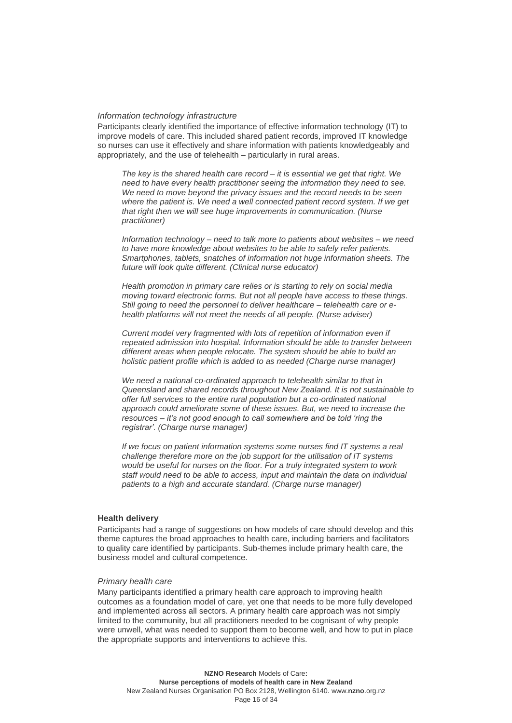#### *Information technology infrastructure*

Participants clearly identified the importance of effective information technology (IT) to improve models of care. This included shared patient records, improved IT knowledge so nurses can use it effectively and share information with patients knowledgeably and appropriately, and the use of telehealth – particularly in rural areas.

*The key is the shared health care record – it is essential we get that right. We need to have every health practitioner seeing the information they need to see. We need to move beyond the privacy issues and the record needs to be seen*  where the patient is. We need a well connected patient record system. If we get *that right then we will see huge improvements in communication. (Nurse practitioner)*

*Information technology – need to talk more to patients about websites – we need to have more knowledge about websites to be able to safely refer patients. Smartphones, tablets, snatches of information not huge information sheets. The future will look quite different. (Clinical nurse educator)*

*Health promotion in primary care relies or is starting to rely on social media moving toward electronic forms. But not all people have access to these things. Still going to need the personnel to deliver healthcare – telehealth care or ehealth platforms will not meet the needs of all people. (Nurse adviser)*

*Current model very fragmented with lots of repetition of information even if repeated admission into hospital. Information should be able to transfer between different areas when people relocate. The system should be able to build an holistic patient profile which is added to as needed (Charge nurse manager)*

*We need a national co-ordinated approach to telehealth similar to that in Queensland and shared records throughout New Zealand. It is not sustainable to offer full services to the entire rural population but a co-ordinated national approach could ameliorate some of these issues. But, we need to increase the resources – it's not good enough to call somewhere and be told 'ring the registrar'. (Charge nurse manager)*

*If we focus on patient information systems some nurses find IT systems a real challenge therefore more on the job support for the utilisation of IT systems would be useful for nurses on the floor. For a truly integrated system to work staff would need to be able to access, input and maintain the data on individual patients to a high and accurate standard. (Charge nurse manager)*

### **Health delivery**

Participants had a range of suggestions on how models of care should develop and this theme captures the broad approaches to health care, including barriers and facilitators to quality care identified by participants. Sub-themes include primary health care, the business model and cultural competence.

#### *Primary health care*

Many participants identified a primary health care approach to improving health outcomes as a foundation model of care, yet one that needs to be more fully developed and implemented across all sectors. A primary health care approach was not simply limited to the community, but all practitioners needed to be cognisant of why people were unwell, what was needed to support them to become well, and how to put in place the appropriate supports and interventions to achieve this.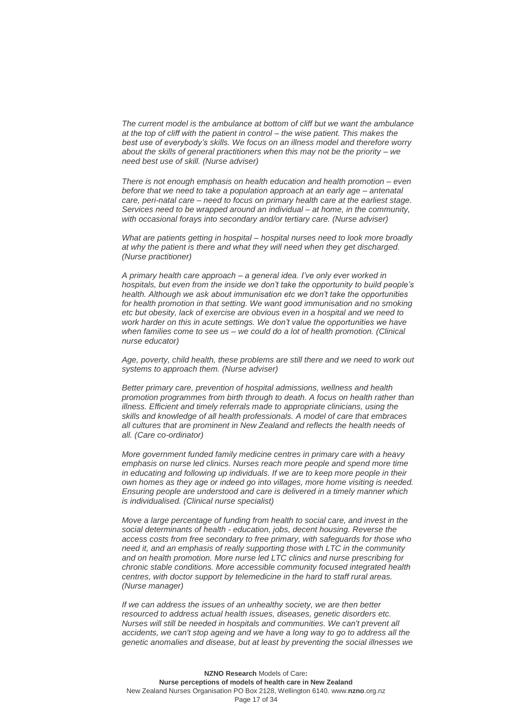*The current model is the ambulance at bottom of cliff but we want the ambulance at the top of cliff with the patient in control – the wise patient. This makes the best use of everybody's skills. We focus on an illness model and therefore worry about the skills of general practitioners when this may not be the priority – we need best use of skill. (Nurse adviser)*

*There is not enough emphasis on health education and health promotion – even before that we need to take a population approach at an early age – antenatal care, peri-natal care – need to focus on primary health care at the earliest stage. Services need to be wrapped around an individual – at home, in the community, with occasional forays into secondary and/or tertiary care. (Nurse adviser)*

*What are patients getting in hospital – hospital nurses need to look more broadly at why the patient is there and what they will need when they get discharged. (Nurse practitioner)*

*A primary health care approach – a general idea. I've only ever worked in hospitals, but even from the inside we don't take the opportunity to build people's health. Although we ask about immunisation etc we don't take the opportunities for health promotion in that setting. We want good immunisation and no smoking etc but obesity, lack of exercise are obvious even in a hospital and we need to work harder on this in acute settings. We don't value the opportunities we have when families come to see us – we could do a lot of health promotion. (Clinical nurse educator)*

*Age, poverty, child health, these problems are still there and we need to work out systems to approach them. (Nurse adviser)*

*Better primary care, prevention of hospital admissions, wellness and health promotion programmes from birth through to death. A focus on health rather than illness. Efficient and timely referrals made to appropriate clinicians, using the skills and knowledge of all health professionals. A model of care that embraces all cultures that are prominent in New Zealand and reflects the health needs of all. (Care co-ordinator)*

*More government funded family medicine centres in primary care with a heavy emphasis on nurse led clinics. Nurses reach more people and spend more time in educating and following up individuals. If we are to keep more people in their own homes as they age or indeed go into villages, more home visiting is needed. Ensuring people are understood and care is delivered in a timely manner which is individualised. (Clinical nurse specialist)*

*Move a large percentage of funding from health to social care, and invest in the social determinants of health - education, jobs, decent housing. Reverse the access costs from free secondary to free primary, with safeguards for those who need it, and an emphasis of really supporting those with LTC in the community and on health promotion. More nurse led LTC clinics and nurse prescribing for chronic stable conditions. More accessible community focused integrated health centres, with doctor support by telemedicine in the hard to staff rural areas. (Nurse manager)*

*If we can address the issues of an unhealthy society, we are then better resourced to address actual health issues, diseases, genetic disorders etc. Nurses will still be needed in hospitals and communities. We can't prevent all accidents, we can't stop ageing and we have a long way to go to address all the genetic anomalies and disease, but at least by preventing the social illnesses we*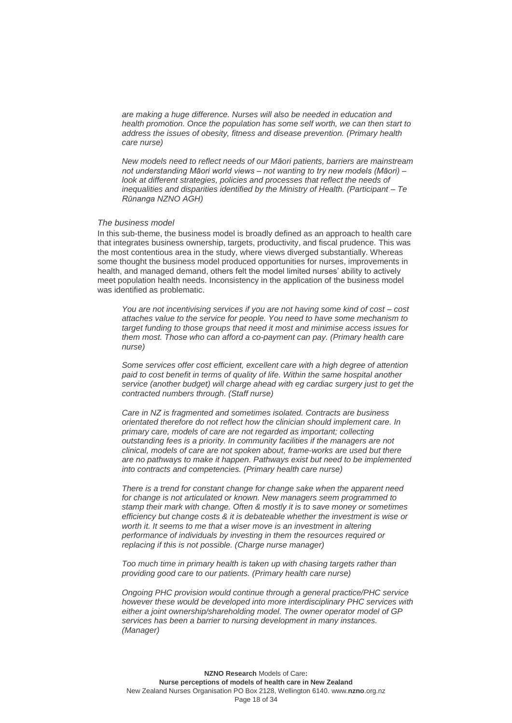*are making a huge difference. Nurses will also be needed in education and health promotion. Once the population has some self worth, we can then start to address the issues of obesity, fitness and disease prevention. (Primary health care nurse)*

*New models need to reflect needs of our Māori patients, barriers are mainstream not understanding Māori world views – not wanting to try new models (Māori) – look at different strategies, policies and processes that reflect the needs of inequalities and disparities identified by the Ministry of Health. (Participant – Te Rūnanga NZNO AGH)*

### *The business model*

In this sub-theme, the business model is broadly defined as an approach to health care that integrates business ownership, targets, productivity, and fiscal prudence. This was the most contentious area in the study, where views diverged substantially. Whereas some thought the business model produced opportunities for nurses, improvements in health, and managed demand, others felt the model limited nurses' ability to actively meet population health needs. Inconsistency in the application of the business model was identified as problematic.

*You are not incentivising services if you are not having some kind of cost – cost attaches value to the service for people. You need to have some mechanism to target funding to those groups that need it most and minimise access issues for them most. Those who can afford a co-payment can pay. (Primary health care nurse)*

*Some services offer cost efficient, excellent care with a high degree of attention paid to cost benefit in terms of quality of life. Within the same hospital another service (another budget) will charge ahead with eg cardiac surgery just to get the contracted numbers through. (Staff nurse)*

*Care in NZ is fragmented and sometimes isolated. Contracts are business orientated therefore do not reflect how the clinician should implement care. In primary care, models of care are not regarded as important; collecting outstanding fees is a priority. In community facilities if the managers are not clinical, models of care are not spoken about, frame-works are used but there are no pathways to make it happen. Pathways exist but need to be implemented into contracts and competencies. (Primary health care nurse)*

*There is a trend for constant change for change sake when the apparent need for change is not articulated or known. New managers seem programmed to stamp their mark with change. Often & mostly it is to save money or sometimes efficiency but change costs & it is debateable whether the investment is wise or*  worth it. It seems to me that a wiser move is an investment in altering *performance of individuals by investing in them the resources required or replacing if this is not possible. (Charge nurse manager)*

*Too much time in primary health is taken up with chasing targets rather than providing good care to our patients. (Primary health care nurse)*

*Ongoing PHC provision would continue through a general practice/PHC service however these would be developed into more interdisciplinary PHC services with either a joint ownership/shareholding model. The owner operator model of GP services has been a barrier to nursing development in many instances. (Manager)*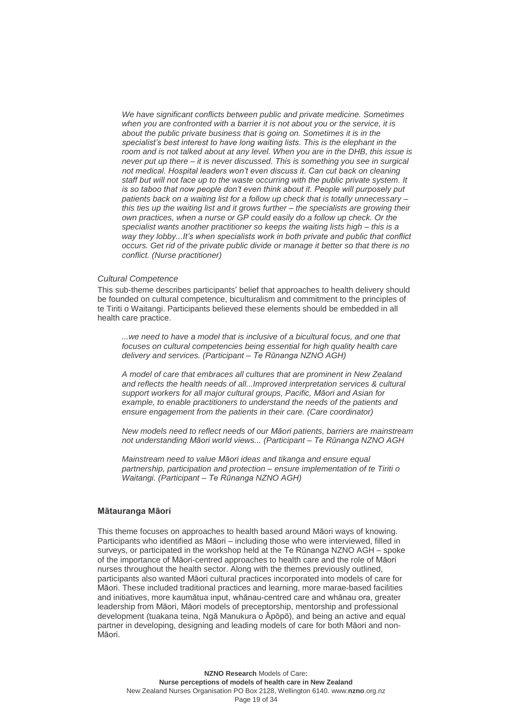*We have significant conflicts between public and private medicine. Sometimes when you are confronted with a barrier it is not about you or the service, it is about the public private business that is going on. Sometimes it is in the specialist's best interest to have long waiting lists. This is the elephant in the room and is not talked about at any level. When you are in the DHB, this issue is never put up there – it is never discussed. This is something you see in surgical not medical. Hospital leaders won't even discuss it. Can cut back on cleaning staff but will not face up to the waste occurring with the public private system. It is so taboo that now people don't even think about it. People will purposely put patients back on a waiting list for a follow up check that is totally unnecessary – this ties up the waiting list and it grows further – the specialists are growing their own practices, when a nurse or GP could easily do a follow up check. Or the specialist wants another practitioner so keeps the waiting lists high – this is a way they lobby...It's when specialists work in both private and public that conflict occurs. Get rid of the private public divide or manage it better so that there is no conflict. (Nurse practitioner)*

#### *Cultural Competence*

This sub-theme describes participants' belief that approaches to health delivery should be founded on cultural competence, biculturalism and commitment to the principles of te Tiriti o Waitangi. Participants believed these elements should be embedded in all health care practice.

*...we need to have a model that is inclusive of a bicultural focus, and one that focuses on cultural competencies being essential for high quality health care delivery and services. (Participant – Te Rūnanga NZNO AGH)*

*A model of care that embraces all cultures that are prominent in New Zealand and reflects the health needs of all...Improved interpretation services & cultural support workers for all major cultural groups, Pacific, Māori and Asian for example, to enable practitioners to understand the needs of the patients and ensure engagement from the patients in their care. (Care coordinator)*

*New models need to reflect needs of our Māori patients, barriers are mainstream not understanding Māori world views... (Participant – Te Rūnanga NZNO AGH*

*Mainstream need to value Māori ideas and tikanga and ensure equal partnership, participation and protection – ensure implementation of te Tiriti o Waitangi. (Participant – Te Rūnanga NZNO AGH)*

### **Mātauranga Māori**

This theme focuses on approaches to health based around Māori ways of knowing. Participants who identified as Māori – including those who were interviewed, filled in surveys, or participated in the workshop held at the Te Rūnanga NZNO AGH – spoke of the importance of Māori-centred approaches to health care and the role of Māori nurses throughout the health sector. Along with the themes previously outlined, participants also wanted Māori cultural practices incorporated into models of care for Māori. These included traditional practices and learning, more marae-based facilities and initiatives, more kaumātua input, whānau-centred care and whānau ora, greater leadership from Māori, Māori models of preceptorship, mentorship and professional development (tuakana teina, Ngā Manukura o Āpōpō), and being an active and equal partner in developing, designing and leading models of care for both Māori and non-Māori.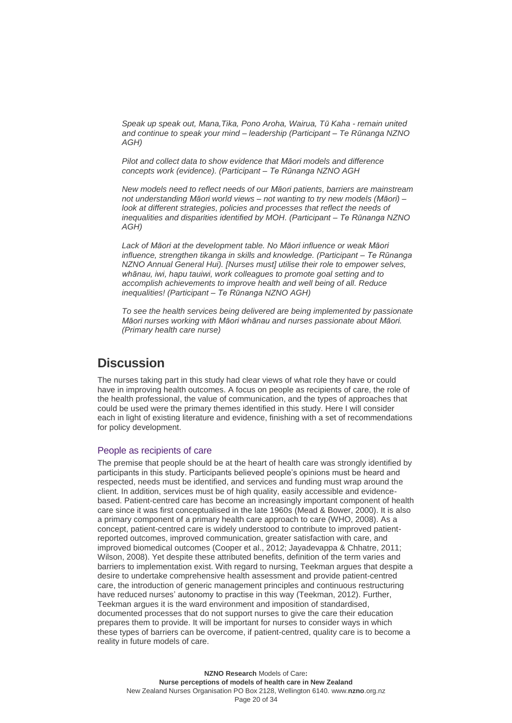*Speak up speak out, Mana,Tika, Pono Aroha, Wairua, Tū Kaha - remain united and continue to speak your mind – leadership (Participant – Te Rūnanga NZNO AGH)*

*Pilot and collect data to show evidence that Māori models and difference concepts work (evidence). (Participant – Te Rūnanga NZNO AGH*

*New models need to reflect needs of our Māori patients, barriers are mainstream not understanding Māori world views – not wanting to try new models (Māori) –* look at different strategies, policies and processes that reflect the needs of *inequalities and disparities identified by MOH. (Participant – Te Rūnanga NZNO AGH)*

*Lack of Māori at the development table. No Māori influence or weak Māori influence, strengthen tikanga in skills and knowledge. (Participant – Te Rūnanga NZNO Annual General Hui). [Nurses must] utilise their role to empower selves, whānau, iwi, hapu tauiwi, work colleagues to promote goal setting and to accomplish achievements to improve health and well being of all. Reduce inequalities! (Participant – Te Rūnanga NZNO AGH)*

*To see the health services being delivered are being implemented by passionate Māori nurses working with Māori whānau and nurses passionate about Māori. (Primary health care nurse)*

## <span id="page-19-0"></span>**Discussion**

The nurses taking part in this study had clear views of what role they have or could have in improving health outcomes. A focus on people as recipients of care, the role of the health professional, the value of communication, and the types of approaches that could be used were the primary themes identified in this study. Here I will consider each in light of existing literature and evidence, finishing with a set of recommendations for policy development.

### People as recipients of care

The premise that people should be at the heart of health care was strongly identified by participants in this study. Participants believed people's opinions must be heard and respected, needs must be identified, and services and funding must wrap around the client. In addition, services must be of high quality, easily accessible and evidencebased. Patient-centred care has become an increasingly important component of health care since it was first conceptualised in the late 1960s (Mead & Bower, 2000). It is also a primary component of a primary health care approach to care (WHO, 2008). As a concept, patient-centred care is widely understood to contribute to improved patientreported outcomes, improved communication, greater satisfaction with care, and improved biomedical outcomes (Cooper et al., 2012; Jayadevappa & Chhatre, 2011; Wilson, 2008). Yet despite these attributed benefits, definition of the term varies and barriers to implementation exist. With regard to nursing, Teekman argues that despite a desire to undertake comprehensive health assessment and provide patient-centred care, the introduction of generic management principles and continuous restructuring have reduced nurses' autonomy to practise in this way (Teekman, 2012). Further, Teekman argues it is the ward environment and imposition of standardised, documented processes that do not support nurses to give the care their education prepares them to provide. It will be important for nurses to consider ways in which these types of barriers can be overcome, if patient-centred, quality care is to become a reality in future models of care.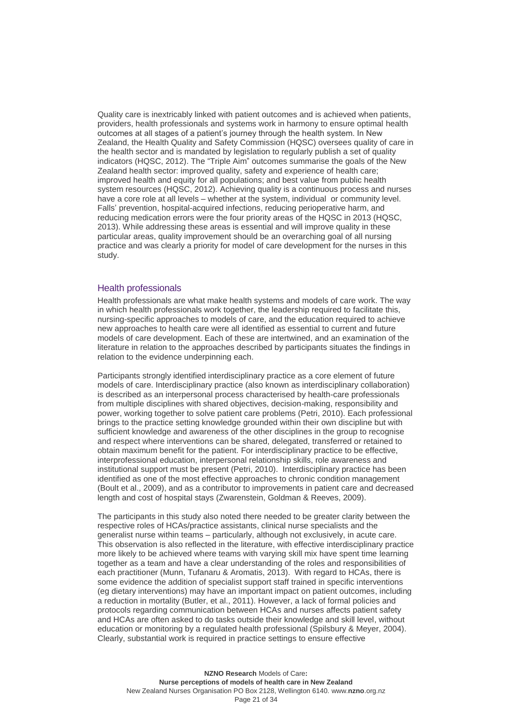Quality care is inextricably linked with patient outcomes and is achieved when patients, providers, health professionals and systems work in harmony to ensure optimal health outcomes at all stages of a patient's journey through the health system. In New Zealand, the Health Quality and Safety Commission (HQSC) oversees quality of care in the health sector and is mandated by legislation to regularly publish a set of quality indicators (HQSC, 2012). The "Triple Aim" outcomes summarise the goals of the New Zealand health sector: improved quality, safety and experience of health care; improved health and equity for all populations; and best value from public health system resources (HQSC, 2012). Achieving quality is a continuous process and nurses have a core role at all levels – whether at the system, individual or community level. Falls' prevention, hospital-acquired infections, reducing perioperative harm, and reducing medication errors were the four priority areas of the HQSC in 2013 (HQSC, 2013). While addressing these areas is essential and will improve quality in these particular areas, quality improvement should be an overarching goal of all nursing practice and was clearly a priority for model of care development for the nurses in this study.

### Health professionals

Health professionals are what make health systems and models of care work. The way in which health professionals work together, the leadership required to facilitate this, nursing-specific approaches to models of care, and the education required to achieve new approaches to health care were all identified as essential to current and future models of care development. Each of these are intertwined, and an examination of the literature in relation to the approaches described by participants situates the findings in relation to the evidence underpinning each.

Participants strongly identified interdisciplinary practice as a core element of future models of care. Interdisciplinary practice (also known as interdisciplinary collaboration) is described as an interpersonal process characterised by health-care professionals from multiple disciplines with shared objectives, decision-making, responsibility and power, working together to solve patient care problems (Petri, 2010). Each professional brings to the practice setting knowledge grounded within their own discipline but with sufficient knowledge and awareness of the other disciplines in the group to recognise and respect where interventions can be shared, delegated, transferred or retained to obtain maximum benefit for the patient. For interdisciplinary practice to be effective, interprofessional education, interpersonal relationship skills, role awareness and institutional support must be present (Petri, 2010). Interdisciplinary practice has been identified as one of the most effective approaches to chronic condition management (Boult et al., 2009), and as a contributor to improvements in patient care and decreased length and cost of hospital stays (Zwarenstein, Goldman & Reeves, 2009).

The participants in this study also noted there needed to be greater clarity between the respective roles of HCAs/practice assistants, clinical nurse specialists and the generalist nurse within teams – particularly, although not exclusively, in acute care. This observation is also reflected in the literature, with effective interdisciplinary practice more likely to be achieved where teams with varying skill mix have spent time learning together as a team and have a clear understanding of the roles and responsibilities of each practitioner (Munn, Tufanaru & Aromatis, 2013). With regard to HCAs, there is some evidence the addition of specialist support staff trained in specific interventions (eg dietary interventions) may have an important impact on patient outcomes, including a reduction in mortality (Butler, et al., 2011). However, a lack of formal policies and protocols regarding communication between HCAs and nurses affects patient safety and HCAs are often asked to do tasks outside their knowledge and skill level, without education or monitoring by a regulated health professional (Spilsbury & Meyer, 2004). Clearly, substantial work is required in practice settings to ensure effective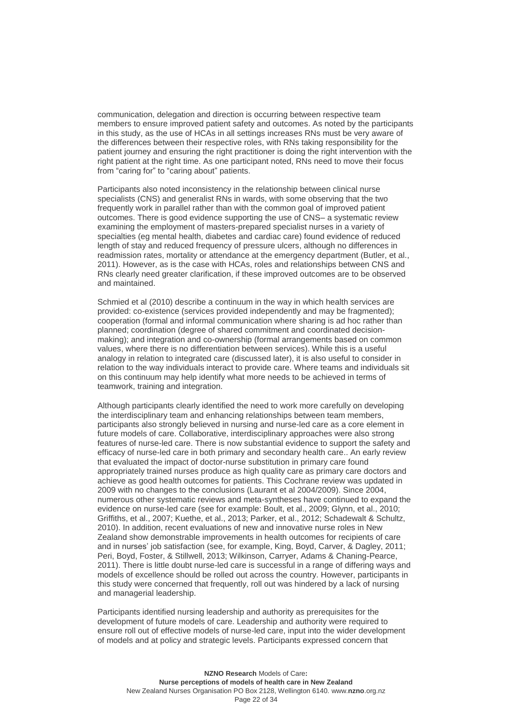communication, delegation and direction is occurring between respective team members to ensure improved patient safety and outcomes. As noted by the participants in this study, as the use of HCAs in all settings increases RNs must be very aware of the differences between their respective roles, with RNs taking responsibility for the patient journey and ensuring the right practitioner is doing the right intervention with the right patient at the right time. As one participant noted, RNs need to move their focus from "caring for" to "caring about" patients.

Participants also noted inconsistency in the relationship between clinical nurse specialists (CNS) and generalist RNs in wards, with some observing that the two frequently work in parallel rather than with the common goal of improved patient outcomes. There is good evidence supporting the use of CNS– a systematic review examining the employment of masters-prepared specialist nurses in a variety of specialties (eg mental health, diabetes and cardiac care) found evidence of reduced length of stay and reduced frequency of pressure ulcers, although no differences in readmission rates, mortality or attendance at the emergency department (Butler, et al., 2011). However, as is the case with HCAs, roles and relationships between CNS and RNs clearly need greater clarification, if these improved outcomes are to be observed and maintained.

Schmied et al (2010) describe a continuum in the way in which health services are provided: co-existence (services provided independently and may be fragmented); cooperation (formal and informal communication where sharing is ad hoc rather than planned; coordination (degree of shared commitment and coordinated decisionmaking); and integration and co-ownership (formal arrangements based on common values, where there is no differentiation between services). While this is a useful analogy in relation to integrated care (discussed later), it is also useful to consider in relation to the way individuals interact to provide care. Where teams and individuals sit on this continuum may help identify what more needs to be achieved in terms of teamwork, training and integration.

Although participants clearly identified the need to work more carefully on developing the interdisciplinary team and enhancing relationships between team members, participants also strongly believed in nursing and nurse-led care as a core element in future models of care. Collaborative, interdisciplinary approaches were also strong features of nurse-led care. There is now substantial evidence to support the safety and efficacy of nurse-led care in both primary and secondary health care.. An early review that evaluated the impact of doctor-nurse substitution in primary care found appropriately trained nurses produce as high quality care as primary care doctors and achieve as good health outcomes for patients. This Cochrane review was updated in 2009 with no changes to the conclusions (Laurant et al 2004/2009). Since 2004, numerous other systematic reviews and meta-syntheses have continued to expand the evidence on nurse-led care (see for example: Boult, et al., 2009; Glynn, et al., 2010; Griffiths, et al., 2007; Kuethe, et al., 2013; Parker, et al., 2012; Schadewalt & Schultz, 2010). In addition, recent evaluations of new and innovative nurse roles in New Zealand show demonstrable improvements in health outcomes for recipients of care and in nurses' job satisfaction (see, for example, King, Boyd, Carver, & Dagley, 2011; Peri, Boyd, Foster, & Stillwell, 2013; Wilkinson, Carryer, Adams & Chaning-Pearce, 2011). There is little doubt nurse-led care is successful in a range of differing ways and models of excellence should be rolled out across the country. However, participants in this study were concerned that frequently, roll out was hindered by a lack of nursing and managerial leadership.

Participants identified nursing leadership and authority as prerequisites for the development of future models of care. Leadership and authority were required to ensure roll out of effective models of nurse-led care, input into the wider development of models and at policy and strategic levels. Participants expressed concern that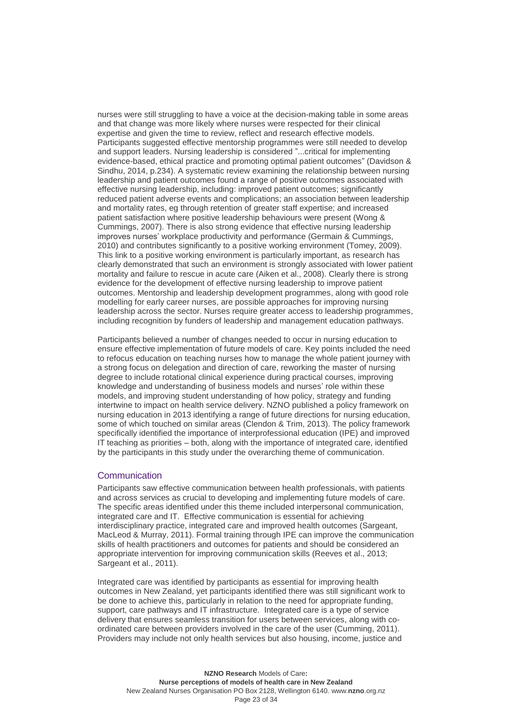nurses were still struggling to have a voice at the decision-making table in some areas and that change was more likely where nurses were respected for their clinical expertise and given the time to review, reflect and research effective models. Participants suggested effective mentorship programmes were still needed to develop and support leaders. Nursing leadership is considered "...critical for implementing evidence-based, ethical practice and promoting optimal patient outcomes" (Davidson & Sindhu, 2014, p.234). A systematic review examining the relationship between nursing leadership and patient outcomes found a range of positive outcomes associated with effective nursing leadership, including: improved patient outcomes; significantly reduced patient adverse events and complications; an association between leadership and mortality rates, eg through retention of greater staff expertise; and increased patient satisfaction where positive leadership behaviours were present (Wong & Cummings, 2007). There is also strong evidence that effective nursing leadership improves nurses' workplace productivity and performance (Germain & Cummings, 2010) and contributes significantly to a positive working environment (Tomey, 2009). This link to a positive working environment is particularly important, as research has clearly demonstrated that such an environment is strongly associated with lower patient mortality and failure to rescue in acute care (Aiken et al., 2008). Clearly there is strong evidence for the development of effective nursing leadership to improve patient outcomes. Mentorship and leadership development programmes, along with good role modelling for early career nurses, are possible approaches for improving nursing leadership across the sector. Nurses require greater access to leadership programmes, including recognition by funders of leadership and management education pathways.

Participants believed a number of changes needed to occur in nursing education to ensure effective implementation of future models of care. Key points included the need to refocus education on teaching nurses how to manage the whole patient journey with a strong focus on delegation and direction of care, reworking the master of nursing degree to include rotational clinical experience during practical courses, improving knowledge and understanding of business models and nurses' role within these models, and improving student understanding of how policy, strategy and funding intertwine to impact on health service delivery. NZNO published a policy framework on nursing education in 2013 identifying a range of future directions for nursing education, some of which touched on similar areas (Clendon & Trim, 2013). The policy framework specifically identified the importance of interprofessional education (IPE) and improved IT teaching as priorities – both, along with the importance of integrated care, identified by the participants in this study under the overarching theme of communication.

### **Communication**

Participants saw effective communication between health professionals, with patients and across services as crucial to developing and implementing future models of care. The specific areas identified under this theme included interpersonal communication, integrated care and IT. Effective communication is essential for achieving interdisciplinary practice, integrated care and improved health outcomes (Sargeant, MacLeod & Murray, 2011). Formal training through IPE can improve the communication skills of health practitioners and outcomes for patients and should be considered an appropriate intervention for improving communication skills (Reeves et al., 2013; Sargeant et al., 2011).

Integrated care was identified by participants as essential for improving health outcomes in New Zealand, yet participants identified there was still significant work to be done to achieve this, particularly in relation to the need for appropriate funding, support, care pathways and IT infrastructure. Integrated care is a type of service delivery that ensures seamless transition for users between services, along with coordinated care between providers involved in the care of the user (Cumming, 2011). Providers may include not only health services but also housing, income, justice and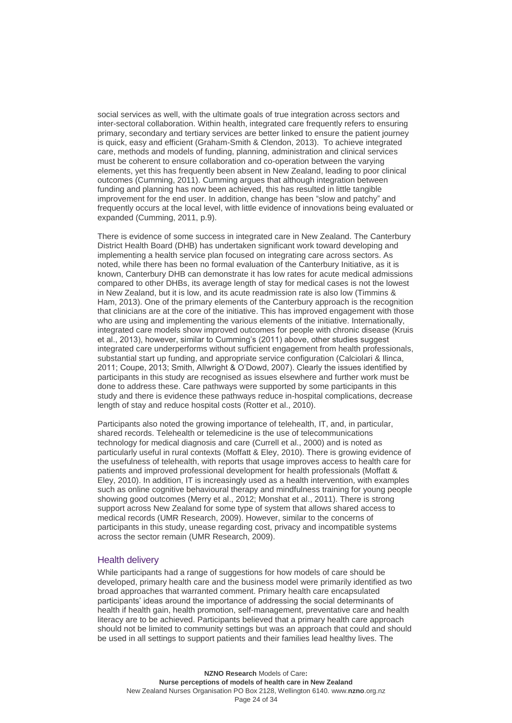social services as well, with the ultimate goals of true integration across sectors and inter-sectoral collaboration. Within health, integrated care frequently refers to ensuring primary, secondary and tertiary services are better linked to ensure the patient journey is quick, easy and efficient (Graham-Smith & Clendon, 2013). To achieve integrated care, methods and models of funding, planning, administration and clinical services must be coherent to ensure collaboration and co-operation between the varying elements, yet this has frequently been absent in New Zealand, leading to poor clinical outcomes (Cumming, 2011). Cumming argues that although integration between funding and planning has now been achieved, this has resulted in little tangible improvement for the end user. In addition, change has been "slow and patchy" and frequently occurs at the local level, with little evidence of innovations being evaluated or expanded (Cumming, 2011, p.9).

There is evidence of some success in integrated care in New Zealand. The Canterbury District Health Board (DHB) has undertaken significant work toward developing and implementing a health service plan focused on integrating care across sectors. As noted, while there has been no formal evaluation of the Canterbury Initiative, as it is known, Canterbury DHB can demonstrate it has low rates for acute medical admissions compared to other DHBs, its average length of stay for medical cases is not the lowest in New Zealand, but it is low, and its acute readmission rate is also low (Timmins & Ham, 2013). One of the primary elements of the Canterbury approach is the recognition that clinicians are at the core of the initiative. This has improved engagement with those who are using and implementing the various elements of the initiative. Internationally, integrated care models show improved outcomes for people with chronic disease (Kruis et al., 2013), however, similar to Cumming's (2011) above, other studies suggest integrated care underperforms without sufficient engagement from health professionals, substantial start up funding, and appropriate service configuration (Calciolari & Ilinca, 2011; Coupe, 2013; Smith, Allwright & O'Dowd, 2007). Clearly the issues identified by participants in this study are recognised as issues elsewhere and further work must be done to address these. Care pathways were supported by some participants in this study and there is evidence these pathways reduce in-hospital complications, decrease length of stay and reduce hospital costs (Rotter et al., 2010).

Participants also noted the growing importance of telehealth, IT, and, in particular, shared records. Telehealth or telemedicine is the use of telecommunications technology for medical diagnosis and care (Currell et al., 2000) and is noted as particularly useful in rural contexts (Moffatt & Eley, 2010). There is growing evidence of the usefulness of telehealth, with reports that usage improves access to health care for patients and improved professional development for health professionals (Moffatt & Eley, 2010). In addition, IT is increasingly used as a health intervention, with examples such as online cognitive behavioural therapy and mindfulness training for young people showing good outcomes (Merry et al., 2012; Monshat et al., 2011). There is strong support across New Zealand for some type of system that allows shared access to medical records (UMR Research, 2009). However, similar to the concerns of participants in this study, unease regarding cost, privacy and incompatible systems across the sector remain (UMR Research, 2009).

## Health delivery

While participants had a range of suggestions for how models of care should be developed, primary health care and the business model were primarily identified as two broad approaches that warranted comment. Primary health care encapsulated participants' ideas around the importance of addressing the social determinants of health if health gain, health promotion, self-management, preventative care and health literacy are to be achieved. Participants believed that a primary health care approach should not be limited to community settings but was an approach that could and should be used in all settings to support patients and their families lead healthy lives. The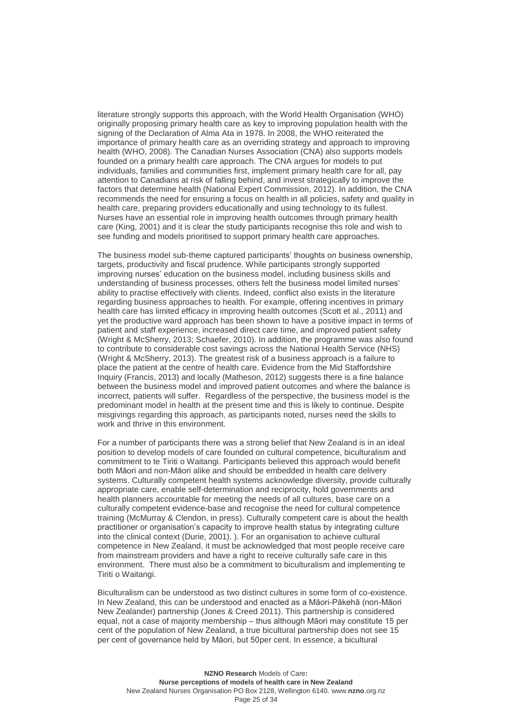literature strongly supports this approach, with the World Health Organisation (WHO) originally proposing primary health care as key to improving population health with the signing of the Declaration of Alma Ata in 1978. In 2008, the WHO reiterated the importance of primary health care as an overriding strategy and approach to improving health (WHO, 2008). The Canadian Nurses Association (CNA) also supports models founded on a primary health care approach. The CNA argues for models to put individuals, families and communities first, implement primary health care for all, pay attention to Canadians at risk of falling behind, and invest strategically to improve the factors that determine health (National Expert Commission, 2012). In addition, the CNA recommends the need for ensuring a focus on health in all policies, safety and quality in health care, preparing providers educationally and using technology to its fullest. Nurses have an essential role in improving health outcomes through primary health care (King, 2001) and it is clear the study participants recognise this role and wish to see funding and models prioritised to support primary health care approaches.

The business model sub-theme captured participants' thoughts on business ownership, targets, productivity and fiscal prudence. While participants strongly supported improving nurses' education on the business model, including business skills and understanding of business processes, others felt the business model limited nurses' ability to practise effectively with clients. Indeed, conflict also exists in the literature regarding business approaches to health. For example, offering incentives in primary health care has limited efficacy in improving health outcomes (Scott et al., 2011) and yet the productive ward approach has been shown to have a positive impact in terms of patient and staff experience, increased direct care time, and improved patient safety (Wright & McSherry, 2013; Schaefer, 2010). In addition, the programme was also found to contribute to considerable cost savings across the National Health Service (NHS) (Wright & McSherry, 2013). The greatest risk of a business approach is a failure to place the patient at the centre of health care. Evidence from the Mid Staffordshire Inquiry (Francis, 2013) and locally (Matheson, 2012) suggests there is a fine balance between the business model and improved patient outcomes and where the balance is incorrect, patients will suffer. Regardless of the perspective, the business model is the predominant model in health at the present time and this is likely to continue. Despite misgivings regarding this approach, as participants noted, nurses need the skills to work and thrive in this environment.

For a number of participants there was a strong belief that New Zealand is in an ideal position to develop models of care founded on cultural competence, biculturalism and commitment to te Tiriti o Waitangi. Participants believed this approach would benefit both Māori and non-Māori alike and should be embedded in health care delivery systems. Culturally competent health systems acknowledge diversity, provide culturally appropriate care, enable self-determination and reciprocity, hold governments and health planners accountable for meeting the needs of all cultures, base care on a culturally competent evidence-base and recognise the need for cultural competence training (McMurray & Clendon, in press). Culturally competent care is about the health practitioner or organisation's capacity to improve health status by integrating culture into the clinical context (Durie, 2001). ). For an organisation to achieve cultural competence in New Zealand, it must be acknowledged that most people receive care from mainstream providers and have a right to receive culturally safe care in this environment. There must also be a commitment to biculturalism and implementing te Tiriti o Waitangi.

Biculturalism can be understood as two distinct cultures in some form of co-existence. In New Zealand, this can be understood and enacted as a Māori-Pākehā (non-Māori New Zealander) partnership (Jones & Creed 2011). This partnership is considered equal, not a case of majority membership – thus although Māori may constitute 15 per cent of the population of New Zealand, a true bicultural partnership does not see 15 per cent of governance held by Māori, but 50per cent. In essence, a bicultural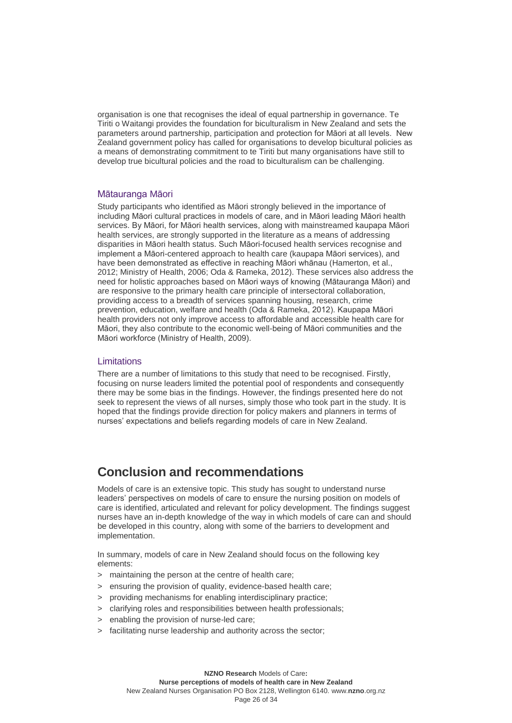organisation is one that recognises the ideal of equal partnership in governance. Te Tiriti o Waitangi provides the foundation for biculturalism in New Zealand and sets the parameters around partnership, participation and protection for Māori at all levels. New Zealand government policy has called for organisations to develop bicultural policies as a means of demonstrating commitment to te Tiriti but many organisations have still to develop true bicultural policies and the road to biculturalism can be challenging.

#### Mātauranga Māori

Study participants who identified as Māori strongly believed in the importance of including Māori cultural practices in models of care, and in Māori leading Māori health services. By Māori, for Māori health services, along with mainstreamed kaupapa Māori health services, are strongly supported in the literature as a means of addressing disparities in Māori health status. Such Māori-focused health services recognise and implement a Māori-centered approach to health care (kaupapa Māori services), and have been demonstrated as effective in reaching Māori whānau (Hamerton, et al., 2012; Ministry of Health, 2006; Oda & Rameka, 2012). These services also address the need for holistic approaches based on Māori ways of knowing (Mātauranga Māori) and are responsive to the primary health care principle of intersectoral collaboration, providing access to a breadth of services spanning housing, research, crime prevention, education, welfare and health (Oda & Rameka, 2012). Kaupapa Māori health providers not only improve access to affordable and accessible health care for Māori, they also contribute to the economic well-being of Māori communities and the Māori workforce (Ministry of Health, 2009).

### **Limitations**

There are a number of limitations to this study that need to be recognised. Firstly, focusing on nurse leaders limited the potential pool of respondents and consequently there may be some bias in the findings. However, the findings presented here do not seek to represent the views of all nurses, simply those who took part in the study. It is hoped that the findings provide direction for policy makers and planners in terms of nurses' expectations and beliefs regarding models of care in New Zealand.

## <span id="page-25-0"></span>**Conclusion and recommendations**

Models of care is an extensive topic. This study has sought to understand nurse leaders' perspectives on models of care to ensure the nursing position on models of care is identified, articulated and relevant for policy development. The findings suggest nurses have an in-depth knowledge of the way in which models of care can and should be developed in this country, along with some of the barriers to development and implementation.

In summary, models of care in New Zealand should focus on the following key elements:

- > maintaining the person at the centre of health care;
- > ensuring the provision of quality, evidence-based health care;
- > providing mechanisms for enabling interdisciplinary practice;
- > clarifying roles and responsibilities between health professionals;
- > enabling the provision of nurse-led care;
- > facilitating nurse leadership and authority across the sector;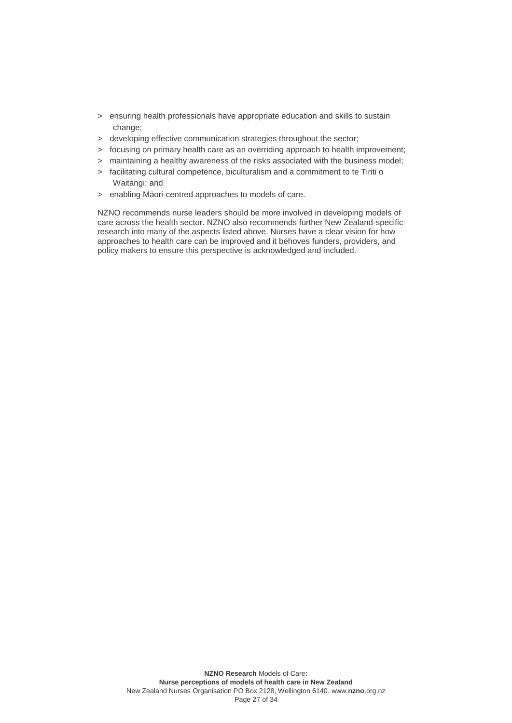- > ensuring health professionals have appropriate education and skills to sustain change;
- > developing effective communication strategies throughout the sector;
- > focusing on primary health care as an overriding approach to health improvement;
- > maintaining a healthy awareness of the risks associated with the business model;
- > facilitating cultural competence, biculturalism and a commitment to te Tiriti o Waitangi; and
- > enabling Māori-centred approaches to models of care.

NZNO recommends nurse leaders should be more involved in developing models of care across the health sector. NZNO also recommends further New Zealand-specific research into many of the aspects listed above. Nurses have a clear vision for how approaches to health care can be improved and it behoves funders, providers, and policy makers to ensure this perspective is acknowledged and included.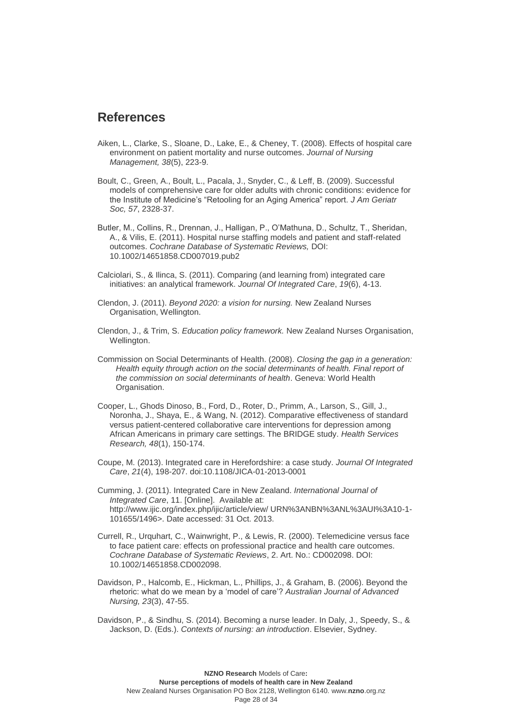## <span id="page-27-0"></span>**References**

- Aiken, L., Clarke, S., Sloane, D., Lake, E., & Cheney, T. (2008). Effects of hospital care environment on patient mortality and nurse outcomes. *Journal of Nursing Management, 38*(5), 223-9.
- Boult, C., Green, A., Boult, L., Pacala, J., Snyder, C., & Leff, B. (2009). Successful models of comprehensive care for older adults with chronic conditions: evidence for the Institute of Medicine's "Retooling for an Aging America" report. *J Am Geriatr Soc, 57*, 2328-37.
- Butler, M., Collins, R., Drennan, J., Halligan, P., O'Mathuna, D., Schultz, T., Sheridan, A., & Vilis, E. (2011). Hospital nurse staffing models and patient and staff-related outcomes. *Cochrane Database of Systematic Reviews,* DOI: 10.1002/14651858.CD007019.pub2
- Calciolari, S., & Ilinca, S. (2011). Comparing (and learning from) integrated care initiatives: an analytical framework. *Journal Of Integrated Care*, *19*(6), 4-13.
- Clendon, J. (2011). *Beyond 2020: a vision for nursing.* New Zealand Nurses Organisation, Wellington.
- Clendon, J., & Trim, S. *Education policy framework.* New Zealand Nurses Organisation, Wellington.
- Commission on Social Determinants of Health. (2008). *Closing the gap in a generation: Health equity through action on the social determinants of health. Final report of the commission on social determinants of health*. Geneva: World Health Organisation.
- Cooper, L., Ghods Dinoso, B., Ford, D., Roter, D., Primm, A., Larson, S., Gill, J., Noronha, J., Shaya, E., & Wang, N. (2012). Comparative effectiveness of standard versus patient-centered collaborative care interventions for depression among African Americans in primary care settings. The BRIDGE study. *Health Services Research, 48*(1), 150-174.
- Coupe, M. (2013). Integrated care in Herefordshire: a case study. *Journal Of Integrated Care*, *21*(4), 198-207. doi:10.1108/JICA-01-2013-0001
- Cumming, J. (2011). Integrated Care in New Zealand. *International Journal of Integrated Care*, 11. [Online]. Available at: [http://www.ijic.org/index.php/ijic/article/view/ URN%3ANBN%3ANL%3AUI%3A10-1-](http://www.ijic.org/index.php/ijic/article/view/%20URN%3ANBN%3ANL%3AUI%3A10-1-101655/1496) [101655/1496>](http://www.ijic.org/index.php/ijic/article/view/%20URN%3ANBN%3ANL%3AUI%3A10-1-101655/1496). Date accessed: 31 Oct. 2013.
- Currell, R., Urquhart, C., Wainwright, P., & Lewis, R. (2000). Telemedicine versus face to face patient care: effects on professional practice and health care outcomes. *Cochrane Database of Systematic Reviews*, 2. Art. No.: CD002098. DOI: 10.1002/14651858.CD002098.
- Davidson, P., Halcomb, E., Hickman, L., Phillips, J., & Graham, B. (2006). Beyond the rhetoric: what do we mean by a 'model of care'? *Australian Journal of Advanced Nursing, 23*(3), 47-55.
- Davidson, P., & Sindhu, S. (2014). Becoming a nurse leader. In Daly, J., Speedy, S., & Jackson, D. (Eds.). *Contexts of nursing: an introduction*. Elsevier, Sydney.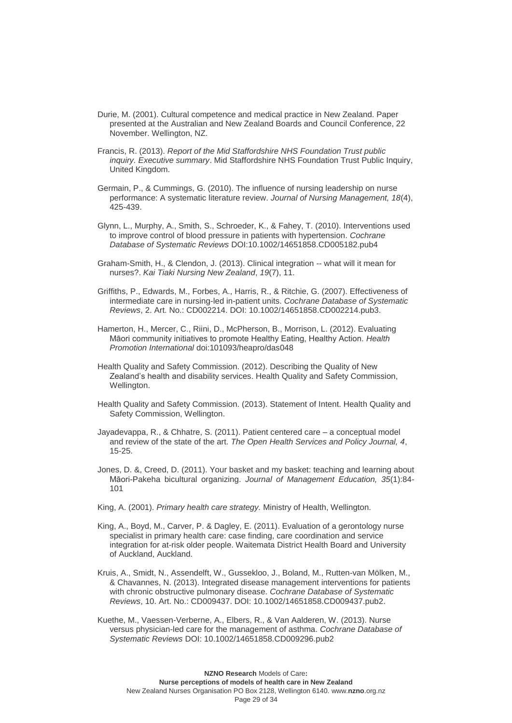- Durie, M. (2001). Cultural competence and medical practice in New Zealand. Paper presented at the Australian and New Zealand Boards and Council Conference, 22 November. Wellington, NZ.
- Francis, R. (2013). *Report of the Mid Staffordshire NHS Foundation Trust public inquiry. Executive summary*. Mid Staffordshire NHS Foundation Trust Public Inquiry, United Kingdom.
- Germain, P., & Cummings, G. (2010). The influence of nursing leadership on nurse performance: A systematic literature review. *Journal of Nursing Management, 18*(4), 425-439.
- Glynn, L., Murphy, A., Smith, S., Schroeder, K., & Fahey, T. (2010). Interventions used to improve control of blood pressure in patients with hypertension. *Cochrane Database of Systematic Reviews* DOI:10.1002/14651858.CD005182.pub4
- Graham-Smith, H., & Clendon, J. (2013). Clinical integration -- what will it mean for nurses?. *Kai Tiaki Nursing New Zealand*, *19*(7), 11.
- Griffiths, P., Edwards, M., Forbes, A., Harris, R., & Ritchie, G. (2007). Effectiveness of intermediate care in nursing-led in-patient units. *Cochrane Database of Systematic Reviews*, 2. Art. No.: CD002214. DOI: 10.1002/14651858.CD002214.pub3.
- Hamerton, H., Mercer, C., Riini, D., McPherson, B., Morrison, L. (2012). Evaluating Māori community initiatives to promote Healthy Eating, Healthy Action. *Health Promotion International* doi:101093/heapro/das048
- Health Quality and Safety Commission. (2012). Describing the Quality of New Zealand's health and disability services. Health Quality and Safety Commission, Wellington.
- Health Quality and Safety Commission. (2013). Statement of Intent. Health Quality and Safety Commission, Wellington.
- Jayadevappa, R., & Chhatre, S. (2011). Patient centered care a conceptual model and review of the state of the art. *The Open Health Services and Policy Journal, 4*, 15-25.
- Jones, D. &, Creed, D. (2011). Your basket and my basket: teaching and learning about Māori-Pakeha bicultural organizing. *Journal of Management Education, 35*(1):84- 101
- King, A. (2001). *Primary health care strategy.* Ministry of Health, Wellington.
- King, A., Boyd, M., Carver, P. & Dagley, E. (2011). Evaluation of a gerontology nurse specialist in primary health care: case finding, care coordination and service integration for at-risk older people. Waitemata District Health Board and University of Auckland, Auckland.
- Kruis, A., Smidt, N., Assendelft, W., Gussekloo, J., Boland, M., Rutten-van Mölken, M., & Chavannes, N. (2013). Integrated disease management interventions for patients with chronic obstructive pulmonary disease. *Cochrane Database of Systematic Reviews*, 10. Art. No.: CD009437. DOI: 10.1002/14651858.CD009437.pub2.
- Kuethe, M., Vaessen-Verberne, A., Elbers, R., & Van Aalderen, W. (2013). Nurse versus physician-led care for the management of asthma. *Cochrane Database of Systematic Reviews* DOI: 10.1002/14651858.CD009296.pub2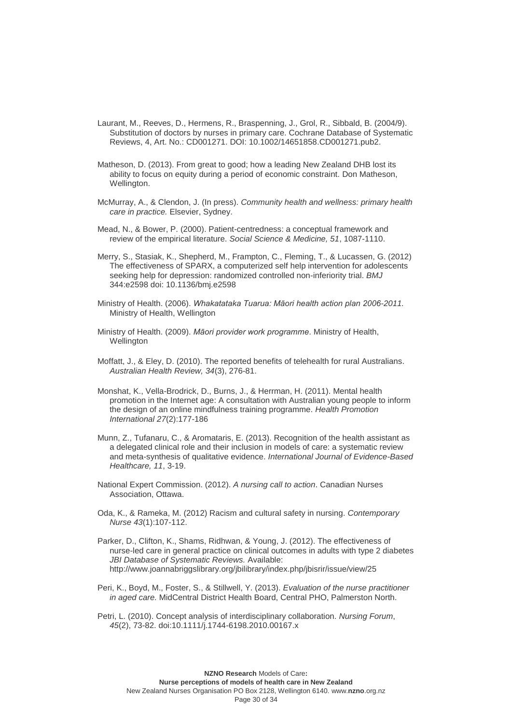- Laurant, M., Reeves, D., Hermens, R., Braspenning, J., Grol, R., Sibbald, B. (2004/9). Substitution of doctors by nurses in primary care. Cochrane Database of Systematic Reviews, 4, Art. No.: CD001271. DOI: 10.1002/14651858.CD001271.pub2.
- Matheson, D. (2013). From great to good; how a leading New Zealand DHB lost its ability to focus on equity during a period of economic constraint. Don Matheson, Wellington.
- McMurray, A., & Clendon, J. (In press). *Community health and wellness: primary health care in practice.* Elsevier, Sydney.
- Mead, N., & Bower, P. (2000). Patient-centredness: a conceptual framework and review of the empirical literature. *Social Science & Medicine, 51*, 1087-1110.
- Merry, S., Stasiak, K., Shepherd, M., Frampton, C., Fleming, T., & Lucassen, G. (2012) The effectiveness of SPARX, a computerized self help intervention for adolescents seeking help for depression: randomized controlled non-inferiority trial. *BMJ*  344:e2598 doi: 10.1136/bmj.e2598
- Ministry of Health. (2006). *Whakatataka Tuarua: Māori health action plan 2006-2011.* Ministry of Health, Wellington
- Ministry of Health. (2009). *Māori provider work programme*. Ministry of Health, **Wellington**
- Moffatt, J., & Eley, D. (2010). The reported benefits of telehealth for rural Australians. *Australian Health Review, 34*(3), 276-81.
- Monshat, K., Vella-Brodrick, D., Burns, J., & Herrman, H. (2011). Mental health promotion in the Internet age: A consultation with Australian young people to inform the design of an online mindfulness training programme. *Health Promotion International 27*(2):177-186
- Munn, Z., Tufanaru, C., & Aromataris, E. (2013). Recognition of the health assistant as a delegated clinical role and their inclusion in models of care: a systematic review and meta-synthesis of qualitative evidence. *International Journal of Evidence-Based Healthcare, 11*, 3-19.
- National Expert Commission. (2012). *A nursing call to action*. Canadian Nurses Association, Ottawa.
- Oda, K., & Rameka, M. (2012) Racism and cultural safety in nursing. *Contemporary Nurse 43*(1):107-112.
- Parker, D., Clifton, K., Shams, Ridhwan, & Young, J. (2012). The effectiveness of nurse-led care in general practice on clinical outcomes in adults with type 2 diabetes *JBI Database of Systematic Reviews.* Available: <http://www.joannabriggslibrary.org/jbilibrary/index.php/jbisrir/issue/view/25>
- Peri, K., Boyd, M., Foster, S., & Stillwell, Y. (2013). *Evaluation of the nurse practitioner in aged care.* MidCentral District Health Board, Central PHO, Palmerston North.
- Petri, L. (2010). Concept analysis of interdisciplinary collaboration. *Nursing Forum*, *45*(2), 73-82. doi:10.1111/j.1744-6198.2010.00167.x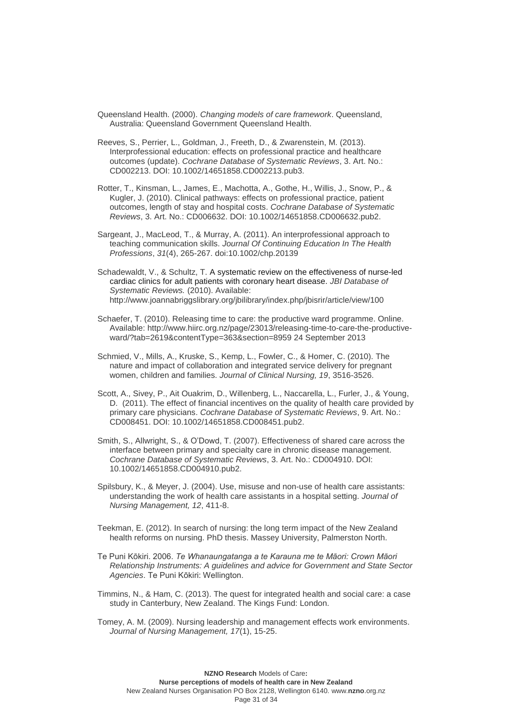- Queensland Health. (2000). *Changing models of care framework*. Queensland, Australia: Queensland Government Queensland Health.
- Reeves, S., Perrier, L., Goldman, J., Freeth, D., & Zwarenstein, M. (2013). Interprofessional education: effects on professional practice and healthcare outcomes (update). *Cochrane Database of Systematic Reviews*, 3. Art. No.: CD002213. DOI: 10.1002/14651858.CD002213.pub3.
- Rotter, T., Kinsman, L., James, E., Machotta, A., Gothe, H., Willis, J., Snow, P., & Kugler, J. (2010). Clinical pathways: effects on professional practice, patient outcomes, length of stay and hospital costs. *Cochrane Database of Systematic Reviews*, 3. Art. No.: CD006632. DOI: 10.1002/14651858.CD006632.pub2.
- Sargeant, J., MacLeod, T., & Murray, A. (2011). An interprofessional approach to teaching communication skills. *Journal Of Continuing Education In The Health Professions*, *31*(4), 265-267. doi:10.1002/chp.20139
- Schadewaldt, V., & Schultz, T. A systematic review on the effectiveness of nurse-led cardiac clinics for adult patients with coronary heart disease. *JBI Database of Systematic Reviews.* (2010). Available: <http://www.joannabriggslibrary.org/jbilibrary/index.php/jbisrir/article/view/100>
- Schaefer, T. (2010). Releasing time to care: the productive ward programme. Online. Available: [http://www.hiirc.org.nz/page/23013/releasing-time-to-care-the-productive](http://www.hiirc.org.nz/page/23013/releasing-time-to-care-the-productive-ward/?tab=2619&contentType=363§ion=8959)[ward/?tab=2619&contentType=363&section=8959](http://www.hiirc.org.nz/page/23013/releasing-time-to-care-the-productive-ward/?tab=2619&contentType=363§ion=8959) 24 September 2013
- Schmied, V., Mills, A., Kruske, S., Kemp, L., Fowler, C., & Homer, C. (2010). The nature and impact of collaboration and integrated service delivery for pregnant women, children and families. *Journal of Clinical Nursing, 19*, 3516-3526.
- Scott, A., Sivey, P., Ait Ouakrim, D., Willenberg, L., Naccarella, L., Furler, J., & Young, D. (2011). The effect of financial incentives on the quality of health care provided by primary care physicians. *Cochrane Database of Systematic Reviews*, 9. Art. No.: CD008451. DOI: 10.1002/14651858.CD008451.pub2.
- Smith, S., Allwright, S., & O'Dowd, T. (2007). Effectiveness of shared care across the interface between primary and specialty care in chronic disease management. *Cochrane Database of Systematic Reviews*, 3. Art. No.: CD004910. DOI: 10.1002/14651858.CD004910.pub2.
- Spilsbury, K., & Meyer, J. (2004). Use, misuse and non-use of health care assistants: understanding the work of health care assistants in a hospital setting. *Journal of Nursing Management, 12*, 411-8.
- Teekman, E. (2012). In search of nursing: the long term impact of the New Zealand health reforms on nursing. PhD thesis. Massey University, Palmerston North.
- Te Puni Kōkiri. 2006. *Te Whanaungatanga a te Karauna me te Māori: Crown Māori Relationship Instruments: A guidelines and advice for Government and State Sector Agencies*. Te Puni Kōkiri: Wellington.
- Timmins, N., & Ham, C. (2013). The quest for integrated health and social care: a case study in Canterbury, New Zealand. The Kings Fund: London.
- Tomey, A. M. (2009). Nursing leadership and management effects work environments. *Journal of Nursing Management, 17*(1), 15-25.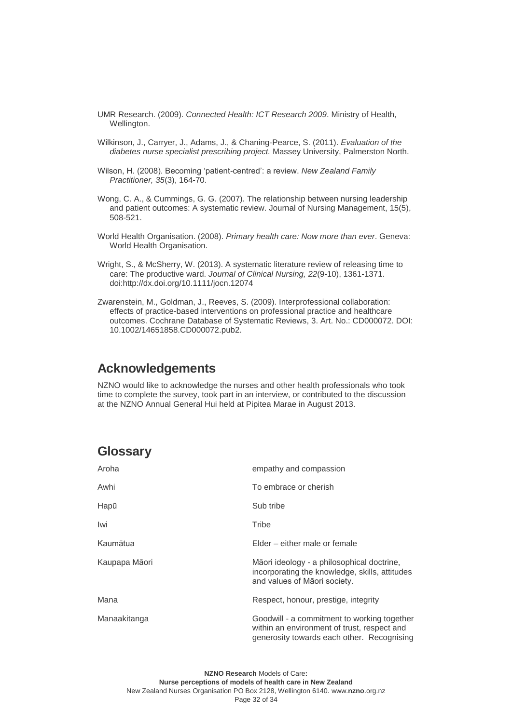- UMR Research. (2009). *Connected Health: ICT Research 2009*. Ministry of Health, Wellington.
- Wilkinson, J., Carryer, J., Adams, J., & Chaning-Pearce, S. (2011). *Evaluation of the diabetes nurse specialist prescribing project.* Massey University, Palmerston North.
- Wilson, H. (2008). Becoming 'patient-centred': a review. *New Zealand Family Practitioner, 35*(3), 164-70.
- Wong, C. A., & Cummings, G. G. (2007). The relationship between nursing leadership and patient outcomes: A systematic review. Journal of Nursing Management, 15(5), 508-521.
- World Health Organisation. (2008). *Primary health care: Now more than ever*. Geneva: World Health Organisation.
- Wright, S., & McSherry, W. (2013). A systematic literature review of releasing time to care: The productive ward. *Journal of Clinical Nursing, 22*(9-10), 1361-1371. doi:http://dx.doi.org/10.1111/jocn.12074
- Zwarenstein, M., Goldman, J., Reeves, S. (2009). Interprofessional collaboration: effects of practice-based interventions on professional practice and healthcare outcomes. Cochrane Database of Systematic Reviews, 3. Art. No.: CD000072. DOI: 10.1002/14651858.CD000072.pub2.

## <span id="page-31-0"></span>**Acknowledgements**

NZNO would like to acknowledge the nurses and other health professionals who took time to complete the survey, took part in an interview, or contributed to the discussion at the NZNO Annual General Hui held at Pipitea Marae in August 2013.

## <span id="page-31-1"></span>**Glossary**

| Aroha         | empathy and compassion                                                                                                                   |
|---------------|------------------------------------------------------------------------------------------------------------------------------------------|
| Awhi          | To embrace or cherish                                                                                                                    |
| Hapū          | Sub tribe                                                                                                                                |
| Iwi           | Tribe                                                                                                                                    |
| Kaumātua      | Elder – either male or female                                                                                                            |
| Kaupapa Māori | Māori ideology - a philosophical doctrine,<br>incorporating the knowledge, skills, attitudes<br>and values of Maori society.             |
| Mana          | Respect, honour, prestige, integrity                                                                                                     |
| Manaakitanga  | Goodwill - a commitment to working together<br>within an environment of trust, respect and<br>generosity towards each other. Recognising |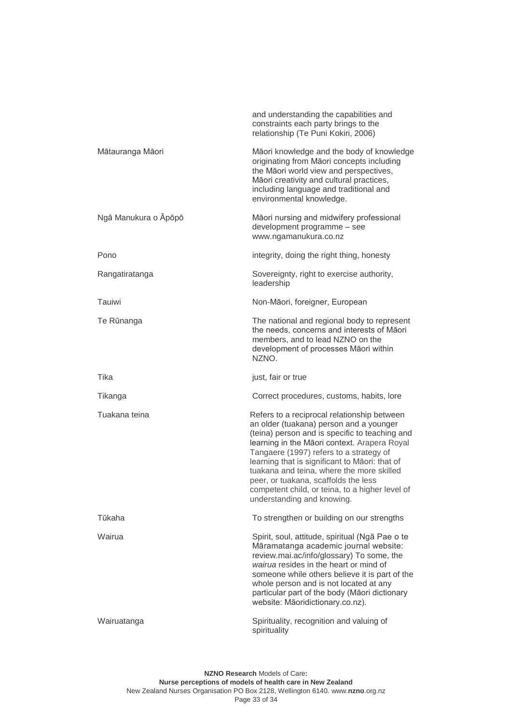|                      | and understanding the capabilities and<br>constraints each party brings to the<br>relationship (Te Puni Kokiri, 2006)                                                                                                                                                                                                                                                                                                                                       |
|----------------------|-------------------------------------------------------------------------------------------------------------------------------------------------------------------------------------------------------------------------------------------------------------------------------------------------------------------------------------------------------------------------------------------------------------------------------------------------------------|
| Mātauranga Māori     | Māori knowledge and the body of knowledge<br>originating from Māori concepts including<br>the Māori world view and perspectives,<br>Māori creativity and cultural practices,<br>including language and traditional and<br>environmental knowledge.                                                                                                                                                                                                          |
| Ngā Manukura o Āpōpō | Māori nursing and midwifery professional<br>development programme - see<br>www.ngamanukura.co.nz                                                                                                                                                                                                                                                                                                                                                            |
| Pono                 | integrity, doing the right thing, honesty                                                                                                                                                                                                                                                                                                                                                                                                                   |
| Rangatiratanga       | Sovereignty, right to exercise authority,<br>leadership                                                                                                                                                                                                                                                                                                                                                                                                     |
| Tauiwi               | Non-Māori, foreigner, European                                                                                                                                                                                                                                                                                                                                                                                                                              |
| Te Rūnanga           | The national and regional body to represent<br>the needs, concerns and interests of Māori<br>members, and to lead NZNO on the<br>development of processes Māori within<br>NZNO.                                                                                                                                                                                                                                                                             |
| Tika                 | just, fair or true                                                                                                                                                                                                                                                                                                                                                                                                                                          |
| Tikanga              | Correct procedures, customs, habits, lore                                                                                                                                                                                                                                                                                                                                                                                                                   |
| Tuakana teina        | Refers to a reciprocal relationship between<br>an older (tuakana) person and a younger<br>(teina) person and is specific to teaching and<br>learning in the Māori context. Arapera Royal<br>Tangaere (1997) refers to a strategy of<br>learning that is significant to Maori: that of<br>tuakana and teina, where the more skilled<br>peer, or tuakana, scaffolds the less<br>competent child, or teina, to a higher level of<br>understanding and knowing. |
| Tūkaha               | To strengthen or building on our strengths                                                                                                                                                                                                                                                                                                                                                                                                                  |
| Wairua               | Spirit, soul, attitude, spiritual (Ngā Pae o te<br>Māramatanga academic journal website:<br>review.mai.ac/info/glossary) To some, the<br>wairua resides in the heart or mind of<br>someone while others believe it is part of the<br>whole person and is not located at any<br>particular part of the body (Māori dictionary<br>website: Māoridictionary.co.nz).                                                                                            |
| Wairuatanga          | Spirituality, recognition and valuing of<br>spirituality                                                                                                                                                                                                                                                                                                                                                                                                    |